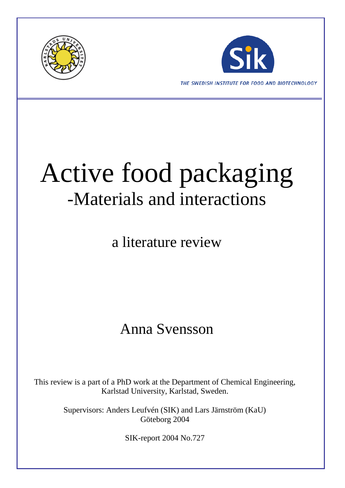



THE SWEDISH INSTITUTE FOR FOOD AND BIOTECHNOLOGY

# Active food packaging -Materials and interactions

a literature review

### Anna Svensson

This review is a part of a PhD work at the Department of Chemical Engineering, Karlstad University, Karlstad, Sweden.

> Supervisors: Anders Leufvén (SIK) and Lars Järnström (KaU) Göteborg 2004

> > SIK-report 2004 No.727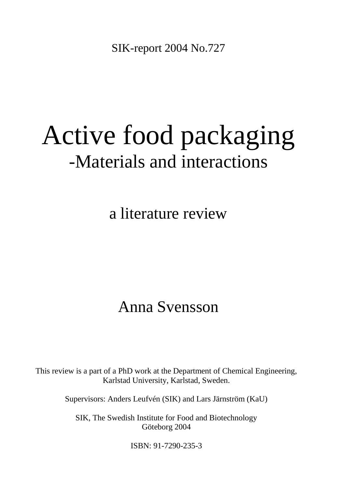SIK-report 2004 No.727

# Active food packaging -Materials and interactions

a literature review

## Anna Svensson

This review is a part of a PhD work at the Department of Chemical Engineering, Karlstad University, Karlstad, Sweden.

Supervisors: Anders Leufvén (SIK) and Lars Järnström (KaU)

SIK, The Swedish Institute for Food and Biotechnology Göteborg 2004

ISBN: 91-7290-235-3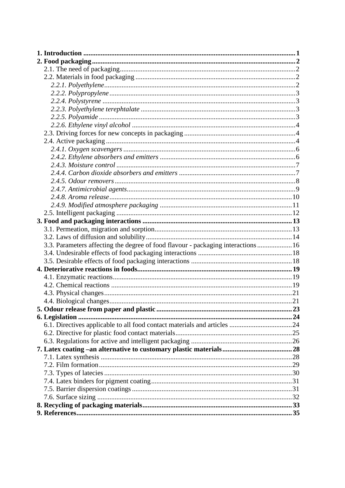| 3.3. Parameters affecting the degree of food flavour - packaging interactions  16 |  |
|-----------------------------------------------------------------------------------|--|
|                                                                                   |  |
|                                                                                   |  |
|                                                                                   |  |
|                                                                                   |  |
|                                                                                   |  |
|                                                                                   |  |
|                                                                                   |  |
|                                                                                   |  |
|                                                                                   |  |
|                                                                                   |  |
|                                                                                   |  |
|                                                                                   |  |
|                                                                                   |  |
|                                                                                   |  |
|                                                                                   |  |
|                                                                                   |  |
|                                                                                   |  |
|                                                                                   |  |
|                                                                                   |  |
|                                                                                   |  |
|                                                                                   |  |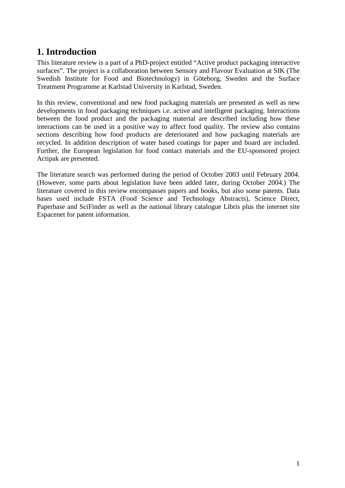#### <span id="page-3-0"></span>**1. Introduction**

This literature review is a part of a PhD-project entitled "Active product packaging interactive surfaces". The project is a collaboration between Sensory and Flavour Evaluation at SIK (The Swedish Institute for Food and Biotechnology) in Göteborg, Sweden and the Surface Treatment Programme at Karlstad University in Karlstad, Sweden.

In this review, conventional and new food packaging materials are presented as well as new developments in food packaging techniques i.e. active and intelligent packaging. Interactions between the food product and the packaging material are described including how these interactions can be used in a positive way to affect food quality. The review also contains sections describing how food products are deteriorated and how packaging materials are recycled. In addition description of water based coatings for paper and board are included. Further, the European legislation for food contact materials and the EU-sponsored project Actipak are presented.

The literature search was performed during the period of October 2003 until February 2004. (However, some parts about legislation have been added later, during October 2004.) The literature covered in this review encompasses papers and books, but also some patents. Data bases used include FSTA (Food Science and Technology Abstracts), Science Direct, Paperbase and SciFinder as well as the national library catalogue Libris plus the internet site Espacenet for patent information.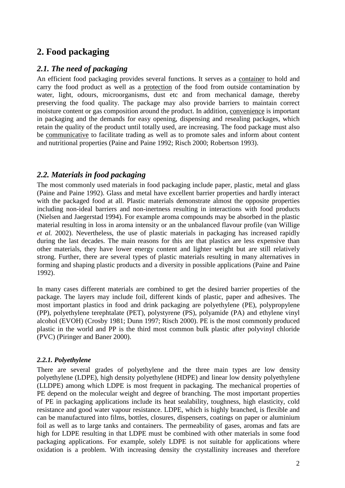#### <span id="page-4-0"></span>**2. Food packaging**

#### <span id="page-4-1"></span>*2.1. The need of packaging*

An efficient food packaging provides several functions. It serves as a container to hold and carry the food product as well as a protection of the food from outside contamination by water, light, odours, microorganisms, dust etc and from mechanical damage, thereby preserving the food quality. The package may also provide barriers to maintain correct moisture content or gas composition around the product. In addition, convenience is important in packaging and the demands for easy opening, dispensing and resealing packages, which retain the quality of the product until totally used, are increasing. The food package must also be communicative to facilitate trading as well as to promote sales and inform about content and nutritional properties (Paine and Paine 1992; Risch 2000; Robertson 1993).

#### <span id="page-4-2"></span>*2.2. Materials in food packaging*

The most commonly used materials in food packaging include paper, plastic, metal and glass (Paine and Paine 1992). Glass and metal have excellent barrier properties and hardly interact with the packaged food at all. Plastic materials demonstrate almost the opposite properties including non-ideal barriers and non-inertness resulting in interactions with food products (Nielsen and Jaegerstad 1994). For example aroma compounds may be absorbed in the plastic material resulting in loss in aroma intensity or an the unbalanced flavour profile (van Willige *et al.* 2002). Nevertheless, the use of plastic materials in packaging has increased rapidly during the last decades. The main reasons for this are that plastics are less expensive than other materials, they have lower energy content and lighter weight but are still relatively strong. Further, there are several types of plastic materials resulting in many alternatives in forming and shaping plastic products and a diversity in possible applications (Paine and Paine 1992).

In many cases different materials are combined to get the desired barrier properties of the package. The layers may include foil, different kinds of plastic, paper and adhesives. The most important plastics in food and drink packaging are polyethylene (PE), polypropylene (PP), polyethylene terephtalate (PET), polystyrene (PS), polyamide (PA) and ethylene vinyl alcohol (EVOH) (Crosby 1981; Dunn 1997; Risch 2000). PE is the most commonly produced plastic in the world and PP is the third most common bulk plastic after polyvinyl chloride (PVC) (Piringer and Baner 2000).

#### <span id="page-4-3"></span>*2.2.1. Polyethylene*

There are several grades of polyethylene and the three main types are low density polyethylene (LDPE), high density polyethylene (HDPE) and linear low density polyethylene (LLDPE) among which LDPE is most frequent in packaging. The mechanical properties of PE depend on the molecular weight and degree of branching. The most important properties of PE in packaging applications include its heat sealability, toughness, high elasticity, cold resistance and good water vapour resistance. LDPE, which is highly branched, is flexible and can be manufactured into films, bottles, closures, dispensers, coatings on paper or aluminium foil as well as to large tanks and containers. The permeability of gases, aromas and fats are high for LDPE resulting in that LDPE must be combined with other materials in some food packaging applications. For example, solely LDPE is not suitable for applications where oxidation is a problem. With increasing density the crystallinity increases and therefore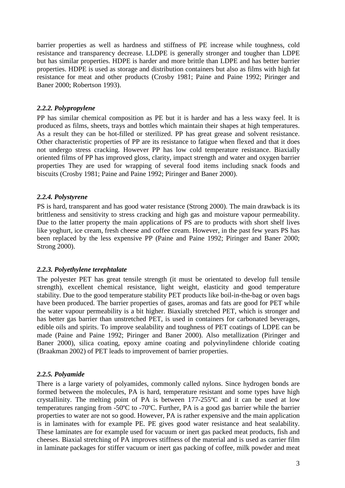barrier properties as well as hardness and stiffness of PE increase while toughness, cold resistance and transparency decrease. LLDPE is generally stronger and tougher than LDPE but has similar properties. HDPE is harder and more brittle than LDPE and has better barrier properties. HDPE is used as storage and distribution containers but also as films with high fat resistance for meat and other products (Crosby 1981; Paine and Paine 1992; Piringer and Baner 2000; Robertson 1993).

#### <span id="page-5-0"></span>*2.2.2. Polypropylene*

PP has similar chemical composition as PE but it is harder and has a less waxy feel. It is produced as films, sheets, trays and bottles which maintain their shapes at high temperatures. As a result they can be hot-filled or sterilized. PP has great grease and solvent resistance. Other characteristic properties of PP are its resistance to fatigue when flexed and that it does not undergo stress cracking. However PP has low cold temperature resistance. Biaxially oriented films of PP has improved gloss, clarity, impact strength and water and oxygen barrier properties They are used for wrapping of several food items including snack foods and biscuits (Crosby 1981; Paine and Paine 1992; Piringer and Baner 2000).

#### <span id="page-5-1"></span>*2.2.4. Polystyrene*

PS is hard, transparent and has good water resistance (Strong 2000). The main drawback is its brittleness and sensitivity to stress cracking and high gas and moisture vapour permeability. Due to the latter property the main applications of PS are to products with short shelf lives like yoghurt, ice cream, fresh cheese and coffee cream. However, in the past few years PS has been replaced by the less expensive PP (Paine and Paine 1992; Piringer and Baner 2000; Strong 2000).

#### <span id="page-5-2"></span>*2.2.3. Polyethylene terephtalate*

The polyester PET has great tensile strength (it must be orientated to develop full tensile strength), excellent chemical resistance, light weight, elasticity and good temperature stability. Due to the good temperature stability PET products like boil-in-the-bag or oven bags have been produced. The barrier properties of gases, aromas and fats are good for PET while the water vapour permeability is a bit higher. Biaxially stretched PET, which is stronger and has better gas barrier than unstretched PET, is used in containers for carbonated beverages, edible oils and spirits. To improve sealability and toughness of PET coatings of LDPE can be made (Paine and Paine 1992; Piringer and Baner 2000). Also metallization (Piringer and Baner 2000), silica coating, epoxy amine coating and polyvinylindene chloride coating (Braakman 2002) of PET leads to improvement of barrier properties.

#### <span id="page-5-3"></span>*2.2.5. Polyamide*

There is a large variety of polyamides, commonly called nylons. Since hydrogen bonds are formed between the molecules, PA is hard, temperature resistant and some types have high crystallinity. The melting point of PA is between 177-255ºC and it can be used at low temperatures ranging from -50ºC to -70ºC. Further, PA is a good gas barrier while the barrier properties to water are not so good. However, PA is rather expensive and the main application is in laminates with for example PE. PE gives good water resistance and heat sealability. These laminates are for example used for vacuum or inert gas packed meat products, fish and cheeses. Biaxial stretching of PA improves stiffness of the material and is used as carrier film in laminate packages for stiffer vacuum or inert gas packing of coffee, milk powder and meat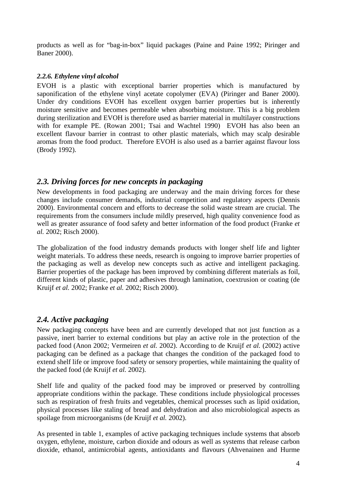products as well as for "bag-in-box" liquid packages (Paine and Paine 1992; Piringer and Baner 2000).

#### <span id="page-6-0"></span>*2.2.6. Ethylene vinyl alcohol*

EVOH is a plastic with exceptional barrier properties which is manufactured by saponification of the ethylene vinyl acetate copolymer (EVA) (Piringer and Baner 2000). Under dry conditions EVOH has excellent oxygen barrier properties but is inherently moisture sensitive and becomes permeable when absorbing moisture. This is a big problem during sterilization and EVOH is therefore used as barrier material in multilayer constructions with for example PE. (Rowan 2001; Tsai and Wachtel 1990) EVOH has also been an excellent flavour barrier in contrast to other plastic materials, which may scalp desirable aromas from the food product. Therefore EVOH is also used as a barrier against flavour loss (Brody 1992).

#### <span id="page-6-1"></span>*2.3. Driving forces for new concepts in packaging*

New developments in food packaging are underway and the main driving forces for these changes include consumer demands, industrial competition and regulatory aspects (Dennis 2000). Environmental concern and efforts to decrease the solid waste stream are crucial. The requirements from the consumers include mildly preserved, high quality convenience food as well as greater assurance of food safety and better information of the food product (Franke *et al.* 2002; Risch 2000).

The globalization of the food industry demands products with longer shelf life and lighter weight materials. To address these needs, research is ongoing to improve barrier properties of the packaging as well as develop new concepts such as active and intelligent packaging. Barrier properties of the package has been improved by combining different materials as foil, different kinds of plastic, paper and adhesives through lamination, coextrusion or coating (de Kruijf *et al.* 2002; Franke *et al.* 2002; Risch 2000).

#### <span id="page-6-2"></span>*2.4. Active packaging*

New packaging concepts have been and are currently developed that not just function as a passive, inert barrier to external conditions but play an active role in the protection of the packed food (Anon 2002; Vermeiren *et al.* 2002). According to de Kruijf *et al.* (2002) active packaging can be defined as a package that changes the condition of the packaged food to extend shelf life or improve food safety or sensory properties, while maintaining the quality of the packed food (de Kruijf *et al.* 2002).

Shelf life and quality of the packed food may be improved or preserved by controlling appropriate conditions within the package. These conditions include physiological processes such as respiration of fresh fruits and vegetables, chemical processes such as lipid oxidation, physical processes like staling of bread and dehydration and also microbiological aspects as spoilage from microorganisms (de Kruijf *et al.* 2002).

As presented in table 1, examples of active packaging techniques include systems that absorb oxygen, ethylene, moisture, carbon dioxide and odours as well as systems that release carbon dioxide, ethanol, antimicrobial agents, antioxidants and flavours (Ahvenainen and Hurme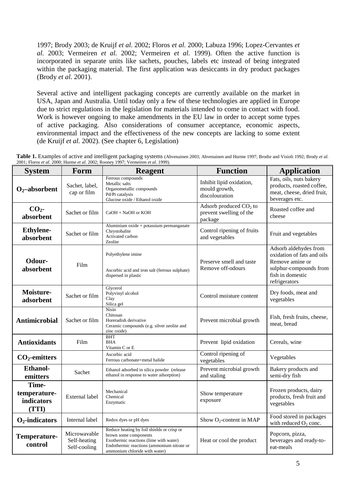1997; Brody 2003; de Kruijf *et al.* 2002; Floros *et al.* 2000; Labuza 1996; Lopez-Cervantes *et al.* 2003; Vermeiren *et al.* 2002; Vermeiren *et al.* 1999). Often the active function is incorporated in separate units like sachets, pouches, labels etc instead of being integrated within the packaging material. The first application was desiccants in dry product packages (Brody *et al.* 2001).

Several active and intelligent packaging concepts are currently available on the market in USA, Japan and Australia. Until today only a few of these technologies are applied in Europe due to strict regulations in the legislation for materials intended to come in contact with food. Work is however ongoing to make amendments in the EU law in order to accept some types of active packaging. Also considerations of consumer acceptance, economic aspects, environmental impact and the effectiveness of the new concepts are lacking to some extent (de Kruijf *et al.* 2002). (See chapter 6, Legislation)

**Table 1.** Examples of active and intelligent packaging systems (Ahvenainen 2003; Ahvenainen and Hurme 1997; Brodie and Visioli 1992; Brody *et al.* 2001; Floros *et al.* 2000; Hurme *et al.* 2002; Rooney 1997; Vermeiren *et al.* 1999).

| <b>System</b>                                | Form                                         | <b>Reagent</b>                                                                                                                                                                               | <b>Function</b>                                                | <b>Application</b>                                                                                                                    |
|----------------------------------------------|----------------------------------------------|----------------------------------------------------------------------------------------------------------------------------------------------------------------------------------------------|----------------------------------------------------------------|---------------------------------------------------------------------------------------------------------------------------------------|
| $O2 -absorbent$                              | Sachet, label,<br>cap or film                | Ferrous compounds<br>Metallic salts<br>Organometallic compounds<br>Pd/Pt catalysis<br>Glucose oxide / Ethanol oxide                                                                          | Inhibit lipid oxidation,<br>mould growth,<br>discolouration    | Fats, oils, nuts bakery<br>products, roasted coffee,<br>meat, cheese, dried fruit,<br>beverages etc.                                  |
| CO <sub>2</sub><br>absorbent                 | Sachet or film                               | $CaOH + NaOH$ or KOH                                                                                                                                                                         | Adsorb produced $CO2$ to<br>prevent swelling of the<br>package | Roasted coffee and<br>cheese                                                                                                          |
| <b>Ethylene-</b><br>absorbent                | Sachet or film                               | Aluminium oxide + potassium permanganate<br>Chrystobalite<br>Activated carbon<br>Zeolite                                                                                                     | Control ripening of fruits<br>and vegetables                   | Fruit and vegetables                                                                                                                  |
| Odour-<br>absorbent                          | Film                                         | Polyethylene imine<br>Ascorbic acid and iron salt (ferrous sulphate)<br>dispersed in plastic                                                                                                 | Preserve smell and taste<br>Remove off-odours                  | Adsorb aldehydes from<br>oxidation of fats and oils<br>Remove amine or<br>sulphur-compounds from<br>fish in domestic<br>refrigerators |
| Moisture-<br>adsorbent                       | Sachet or film                               | Glycerol<br>Polyvinyl alcohol<br>Clay<br>Silica gel                                                                                                                                          | Control moisture content                                       | Dry foods, meat and<br>vegetables                                                                                                     |
| <b>Antimicrobial</b>                         | Sachet or film                               | Nisin<br>Chitosan<br>Horeradish derivative<br>Ceramic compounds (e.g. silver zeolite and<br>zinc oxide)                                                                                      | Prevent microbial growth                                       | Fish, fresh fruits, cheese,<br>meat, bread                                                                                            |
| <b>Antioxidants</b>                          | Film                                         | <b>BHT</b><br><b>BHA</b><br>Vitamin C or E                                                                                                                                                   | Prevent lipid oxidation                                        | Cereals, wine                                                                                                                         |
| $CO2$ -emitters                              |                                              | Ascorbic acid<br>Ferrous carbonate+metal halide                                                                                                                                              | Control ripening of<br>vegetables                              | Vegetables                                                                                                                            |
| <b>Ethanol-</b><br>emitters                  | Sachet                                       | Ethanol adsorbed in silica powder (release<br>ethanol in response to water adsorption)                                                                                                       | Prevent microbial growth<br>and staling                        | Bakery products and<br>semi-dry fish                                                                                                  |
| Time-<br>temperature-<br>indicators<br>(TTI) | External label                               | Mechanical<br>Chemical<br>Enzymatic                                                                                                                                                          | Show temperature<br>exposure                                   | Frozen products, dairy<br>products, fresh fruit and<br>vegetables                                                                     |
| $O2$ -indicators                             | Internal label                               | Redox dyes or pH dyes                                                                                                                                                                        | Show $O_2$ -content in MAP                                     | Food stored in packages<br>with reduced $O_2$ conc.                                                                                   |
| Temperature-<br>control                      | Microwavable<br>Self-heating<br>Self-cooling | Reduce heating by foil shields or crisp or<br>brown some components<br>Exothermic reactions (lime with water)<br>Endothermic reactions (ammonium nitrate or<br>ammonium chloride with water) | Heat or cool the product                                       | Popcorn, pizza,<br>beverages and ready-to-<br>eat-meals                                                                               |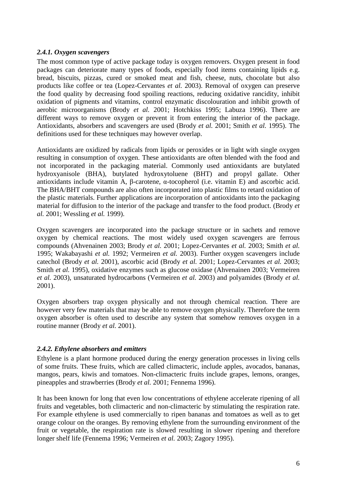#### <span id="page-8-0"></span>*2.4.1. Oxygen scavengers*

The most common type of active package today is oxygen removers. Oxygen present in food packages can deteriorate many types of foods, especially food items containing lipids e.g. bread, biscuits, pizzas, cured or smoked meat and fish, cheese, nuts, chocolate but also products like coffee or tea (Lopez-Cervantes *et al.* 2003). Removal of oxygen can preserve the food quality by decreasing food spoiling reactions, reducing oxidative rancidity, inhibit oxidation of pigments and vitamins, control enzymatic discolouration and inhibit growth of aerobic microorganisms (Brody *et al.* 2001; Hotchkiss 1995; Labuza 1996). There are different ways to remove oxygen or prevent it from entering the interior of the package. Antioxidants, absorbers and scavengers are used (Brody *et al.* 2001; Smith *et al.* 1995). The definitions used for these techniques may however overlap.

Antioxidants are oxidized by radicals from lipids or peroxides or in light with single oxygen resulting in consumption of oxygen. These antioxidants are often blended with the food and not incorporated in the packaging material. Commonly used antioxidants are butylated hydroxyanisole (BHA), butylated hydroxytoluene (BHT) and propyl gallate. Other antioxidants include vitamin A, β-carotene, α-tocopherol (i.e. vitamin E) and ascorbic acid. The BHA/BHT compounds are also often incorporated into plastic films to retard oxidation of the plastic materials. Further applications are incorporation of antioxidants into the packaging material for diffusion to the interior of the package and transfer to the food product. (Brody *et al.* 2001; Wessling *et al.* 1999).

Oxygen scavengers are incorporated into the package structure or in sachets and remove oxygen by chemical reactions. The most widely used oxygen scavengers are ferrous compounds (Ahvenainen 2003; Brody *et al.* 2001; Lopez-Cervantes *et al.* 2003; Smith *et al.* 1995; Wakabayashi *et al.* 1992; Vermeiren *et al.* 2003). Further oxygen scavengers include catechol (Brody *et al.* 2001), ascorbic acid (Brody *et al.* 2001; Lopez-Cervantes *et al.* 2003; Smith *et al.* 1995), oxidative enzymes such as glucose oxidase (Ahvenainen 2003; Vermeiren *et al.* 2003), unsaturated hydrocarbons (Vermeiren *et al.* 2003) and polyamides (Brody *et al.* 2001).

Oxygen absorbers trap oxygen physically and not through chemical reaction. There are however very few materials that may be able to remove oxygen physically. Therefore the term oxygen absorber is often used to describe any system that somehow removes oxygen in a routine manner (Brody *et al.* 2001).

#### <span id="page-8-1"></span>*2.4.2. Ethylene absorbers and emitters*

Ethylene is a plant hormone produced during the energy generation processes in living cells of some fruits. These fruits, which are called climacteric, include apples, avocados, bananas, mangos, pears, kiwis and tomatoes. Non-climacteric fruits include grapes, lemons, oranges, pineapples and strawberries (Brody *et al.* 2001; Fennema 1996).

It has been known for long that even low concentrations of ethylene accelerate ripening of all fruits and vegetables, both climacteric and non-climacteric by stimulating the respiration rate. For example ethylene is used commercially to ripen bananas and tomatoes as well as to get orange colour on the oranges. By removing ethylene from the surrounding environment of the fruit or vegetable, the respiration rate is slowed resulting in slower ripening and therefore longer shelf life (Fennema 1996; Vermeiren *et al.* 2003; Zagory 1995).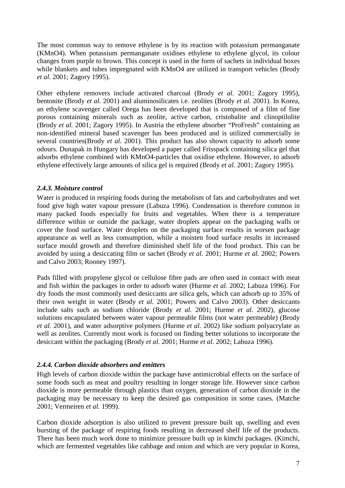The most common way to remove ethylene is by its reaction with potassium permanganate (KMnO4). When potassium permanganate oxidises ethylene to ethylene glycol, its colour changes from purple to brown. This concept is used in the form of sachets in individual boxes while blankets and tubes impregnated with KMnO4 are utilized in transport vehicles (Brody *et al.* 2001; Zagory 1995).

Other ethylene removers include activated charcoal (Brody *et al.* 2001; Zagory 1995), bentonite (Brody *et al.* 2001) and aluminosilicates i.e. zeolites (Brody *et al.* 2001). In Korea, an ethylene scavenger called Orega has been developed that is composed of a film of fine porous containing minerals such as zeolite, active carbon, cristobalite and clinoptilolite (Brody *et al.* 2001; Zagory 1995). In Austria the ethylene absorber "ProFresh" containing an non-identified mineral based scavenger has been produced and is utilized commercially in several countries(Brody *et al.* 2001). This product has also shown capacity to adsorb some odours. Dunapak in Hungary has developed a paper called Frisspack containing silica gel that adsorbs ethylene combined with KMnO4-particles that oxidise ethylene. However, to adsorb ethylene effectively large amounts of silica gel is required (Brody *et al.* 2001; Zagory 1995).

#### <span id="page-9-0"></span>*2.4.3. Moisture control*

Water is produced in respiring foods during the metabolism of fats and carbohydrates and wet food give high water vapour pressure (Labuza 1996). Condensation is therefore common in many packed foods especially for fruits and vegetables. When there is a temperature difference within or outside the package, water droplets appear on the packaging walls or cover the food surface. Water droplets on the packaging surface results in worsen package appearance as well as less consumption, while a moisten food surface results in increased surface mould growth and therefore diminished shelf life of the food product. This can be avoided by using a desiccating film or sachet (Brody *et al.* 2001; Hurme *et al.* 2002; Powers and Calvo 2003; Rooney 1997).

Pads filled with propylene glycol or cellulose fibre pads are often used in contact with meat and fish within the packages in order to adsorb water (Hurme *et al.* 2002; Labuza 1996). For dry foods the most commonly used desiccants are silica gels, which can adsorb up to 35% of their own weight in water (Brody *et al.* 2001; Powers and Calvo 2003). Other desiccants include salts such as sodium chloride (Brody *et al.* 2001; Hurme *et al.* 2002), glucose solutions encapsulated between water vapour permeable films (not water permeable) (Brody *et al.* 2001), and water adsorptive polymers (Hurme *et al.* 2002) like sodium polyacrylate as well as zeolites. Currently most work is focused on finding better solutions to incorporate the desiccant within the packaging (Brody *et al.* 2001; Hurme *et al.* 2002; Labuza 1996).

#### <span id="page-9-1"></span>*2.4.4. Carbon dioxide absorbers and emitters*

High levels of carbon dioxide within the package have antimicrobial effects on the surface of some foods such as meat and poultry resulting in longer storage life. However since carbon dioxide is more permeable through plastics than oxygen, generation of carbon dioxide in the packaging may be necessary to keep the desired gas composition in some cases. (Matche 2001; Vermeiren *et al.* 1999).

Carbon dioxide adsorption is also utilized to prevent pressure built up, swelling and even bursting of the package of respiring foods resulting in decreased shelf life of the products. There has been much work done to minimize pressure built up in kimchi packages. (Kimchi, which are fermented vegetables like cabbage and onion and which are very popular in Korea,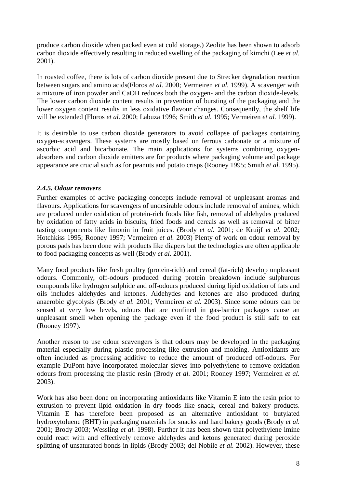produce carbon dioxide when packed even at cold storage.) Zeolite has been shown to adsorb carbon dioxide effectively resulting in reduced swelling of the packaging of kimchi (Lee *et al.* 2001).

In roasted coffee, there is lots of carbon dioxide present due to Strecker degradation reaction between sugars and amino acids(Floros *et al.* 2000; Vermeiren *et al.* 1999). A scavenger with a mixture of iron powder and CaOH reduces both the oxygen- and the carbon dioxide-levels. The lower carbon dioxide content results in prevention of bursting of the packaging and the lower oxygen content results in less oxidative flavour changes. Consequently, the shelf life will be extended (Floros *et al.* 2000; Labuza 1996; Smith *et al.* 1995; Vermeiren *et al.* 1999).

It is desirable to use carbon dioxide generators to avoid collapse of packages containing oxygen-scavengers. These systems are mostly based on ferrous carbonate or a mixture of ascorbic acid and bicarbonate. The main applications for systems combining oxygenabsorbers and carbon dioxide emitters are for products where packaging volume and package appearance are crucial such as for peanuts and potato crisps (Rooney 1995; Smith *et al.* 1995).

#### <span id="page-10-0"></span>*2.4.5. Odour removers*

Further examples of active packaging concepts include removal of unpleasant aromas and flavours. Applications for scavengers of undesirable odours include removal of amines, which are produced under oxidation of protein-rich foods like fish, removal of aldehydes produced by oxidation of fatty acids in biscuits, fried foods and cereals as well as removal of bitter tasting components like limonin in fruit juices. (Brody *et al.* 2001; de Kruijf *et al.* 2002; Hotchkiss 1995; Rooney 1997; Vermeiren *et al.* 2003) Plenty of work on odour removal by porous pads has been done with products like diapers but the technologies are often applicable to food packaging concepts as well (Brody *et al.* 2001).

Many food products like fresh poultry (protein-rich) and cereal (fat-rich) develop unpleasant odours. Commonly, off-odours produced during protein breakdown include sulphurous compounds like hydrogen sulphide and off-odours produced during lipid oxidation of fats and oils includes aldehydes and ketones. Aldehydes and ketones are also produced during anaerobic glycolysis (Brody *et al.* 2001; Vermeiren *et al.* 2003). Since some odours can be sensed at very low levels, odours that are confined in gas-barrier packages cause an unpleasant smell when opening the package even if the food product is still safe to eat (Rooney 1997).

Another reason to use odour scavengers is that odours may be developed in the packaging material especially during plastic processing like extrusion and molding. Antioxidants are often included as processing additive to reduce the amount of produced off-odours. For example DuPont have incorporated molecular sieves into polyethylene to remove oxidation odours from processing the plastic resin (Brody *et al.* 2001; Rooney 1997; Vermeiren *et al.* 2003).

Work has also been done on incorporating antioxidants like Vitamin E into the resin prior to extrusion to prevent lipid oxidation in dry foods like snack, cereal and bakery products. Vitamin E has therefore been proposed as an alternative antioxidant to butylated hydroxytoluene (BHT) in packaging materials for snacks and hard bakery goods (Brody *et al.* 2001; Brody 2003; Wessling *et al.* 1998). Further it has been shown that polyethylene imine could react with and effectively remove aldehydes and ketons generated during peroxide splitting of unsaturated bonds in lipids (Brody 2003; del Nobile *et al.* 2002). However, these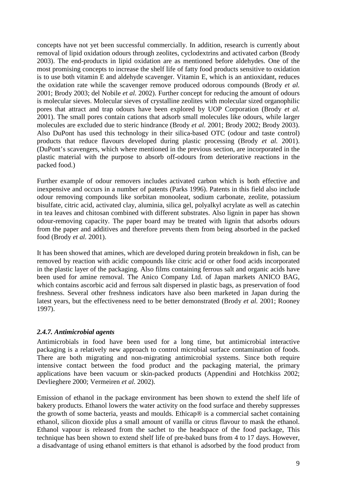concepts have not yet been successful commercially. In addition, research is currently about removal of lipid oxidation odours through zeolites, cyclodextrins and activated carbon (Brody 2003). The end-products in lipid oxidation are as mentioned before aldehydes. One of the most promising concepts to increase the shelf life of fatty food products sensitive to oxidation is to use both vitamin E and aldehyde scavenger. Vitamin E, which is an antioxidant, reduces the oxidation rate while the scavenger remove produced odorous compounds (Brody *et al.* 2001; Brody 2003; del Nobile *et al.* 2002). Further concept for reducing the amount of odours is molecular sieves. Molecular sieves of crystalline zeolites with molecular sized organophilic pores that attract and trap odours have been explored by UOP Corporation (Brody *et al.* 2001). The small pores contain cations that adsorb small molecules like odours, while larger molecules are excluded due to steric hindrance (Brody *et al.* 2001; Brody 2002; Brody 2003). Also DuPont has used this technology in their silica-based OTC (odour and taste control) products that reduce flavours developed during plastic processing (Brody *et al.* 2001). (DuPont's scavengers, which where mentioned in the previous section, are incorporated in the plastic material with the purpose to absorb off-odours from deteriorative reactions in the packed food.)

Further example of odour removers includes activated carbon which is both effective and inexpensive and occurs in a number of patents (Parks 1996). Patents in this field also include odour removing compounds like sorbitan monooleat, sodium carbonate, zeolite, potassium bisulfate, citric acid, activated clay, aluminia, silica gel, polyalkyl acrylate as well as catechin in tea leaves and chitosan combined with different substrates. Also lignin in paper has shown odour-removing capacity. The paper board may be treated with lignin that adsorbs odours from the paper and additives and therefore prevents them from being absorbed in the packed food (Brody *et al.* 2001).

It has been showed that amines, which are developed during protein breakdown in fish, can be removed by reaction with acidic compounds like citric acid or other food acids incorporated in the plastic layer of the packaging. Also films containing ferrous salt and organic acids have been used for amine removal. The Anico Company Ltd. of Japan markets ANICO BAG, which contains ascorbic acid and ferrous salt dispersed in plastic bags, as preservation of food freshness. Several other freshness indicators have also been marketed in Japan during the latest years, but the effectiveness need to be better demonstrated (Brody *et al.* 2001; Rooney 1997).

#### <span id="page-11-0"></span>*2.4.7. Antimicrobial agents*

Antimicrobials in food have been used for a long time, but antimicrobial interactive packaging is a relatively new approach to control microbial surface contamination of foods. There are both migrating and non-migrating antimicrobial systems. Since both require intensive contact between the food product and the packaging material, the primary applications have been vacuum or skin-packed products (Appendini and Hotchkiss 2002; Devlieghere 2000; Vermeiren *et al.* 2002).

Emission of ethanol in the package environment has been shown to extend the shelf life of bakery products. Ethanol lowers the water activity on the food surface and thereby suppresses the growth of some bacteria, yeasts and moulds. Ethicap® is a commercial sachet containing ethanol, silicon dioxide plus a small amount of vanilla or citrus flavour to mask the ethanol. Ethanol vapour is released from the sachet to the headspace of the food package, This technique has been shown to extend shelf life of pre-baked buns from 4 to 17 days. However, a disadvantage of using ethanol emitters is that ethanol is adsorbed by the food product from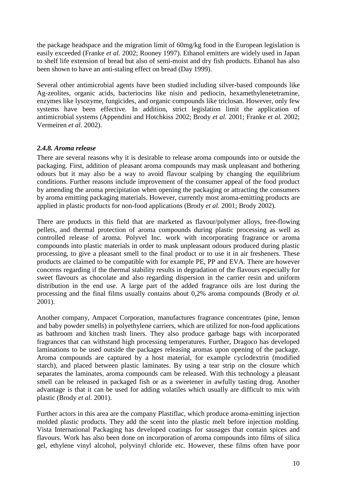the package headspace and the migration limit of 60mg/kg food in the European legislation is easily exceeded (Franke *et al.* 2002; Rooney 1997). Ethanol emitters are widely used in Japan to shelf life extension of bread but also of semi-moist and dry fish products. Ethanol has also been shown to have an anti-staling effect on bread (Day 1999).

Several other antimicrobial agents have been studied including silver-based compounds like Ag-zeolites, organic acids, bacteriocins like nisin and pediocin, hexamethylenetetramine, enzymes like lysozyme, fungicides, and organic compounds like triclosan. However, only few systems have been effective. In addition, strict legislation limit the application of antimicrobial systems (Appendini and Hotchkiss 2002; Brody *et al.* 2001; Franke *et al.* 2002; Vermeiren *et al.* 2002).

#### <span id="page-12-0"></span>*2.4.8. Aroma release*

There are several reasons why it is desirable to release aroma compounds into or outside the packaging. First, addition of pleasant aroma compounds may mask unpleasant and bothering odours but it may also be a way to avoid flavour scalping by changing the equilibrium conditions. Further reasons include improvement of the consumer appeal of the food product by amending the aroma precipitation when opening the packaging or attracting the consumers by aroma emitting packaging materials. However, currently most aroma-emitting products are applied in plastic products for non-food applications (Brody *et al.* 2001; Brody 2002).

There are products in this field that are marketed as flavour/polymer alloys, free-flowing pellets, and thermal protection of aroma compounds during plastic processing as well as controlled release of aroma. Polyvel Inc. work with incorporating fragrance or aroma compounds into plastic materials in order to mask unpleasant odours produced during plastic processing, to give a pleasant smell to the final product or to use it in air fresheners. These products are claimed to be compatible with for example PE, PP and EVA. There are however concerns regarding if the thermal stability results in degradation of the flavours especially for sweet flavours as chocolate and also regarding dispersion in the carrier resin and uniform distribution in the end use. A large part of the added fragrance oils are lost during the processing and the final films usually contains about 0,2% aroma compounds (Brody *et al.* 2001).

Another company, Ampacet Corporation, manufactures fragrance concentrates (pine, lemon and baby powder smells) in polyethylene carriers, which are utilized for non-food applications as bathroom and kitchen trash liners. They also produce garbage bags with incorporated fragrances that can withstand high processing temperatures. Further, Dragoco has developed laminations to be used outside the packages releasing aromas upon opening of the package. Aroma compounds are captured by a host material, for example cyclodextrin (modified starch), and placed between plastic laminates. By using a tear strip on the closure which separates the laminates, aroma compounds cam be released. With this technology a pleasant smell can be released in packaged fish or as a sweetener in awfully tasting drug. Another advantage is that it can be used for adding volatiles which usually are difficult to mix with plastic (Brody *et al.* 2001).

Further actors in this area are the company Plastiflac, which produce aroma-emitting injection molded plastic products. They add the scent into the plastic melt before injection molding. Vista International Packaging has developed coatings for sausages that contain spices and flavours. Work has also been done on incorporation of aroma compounds into films of silica gel, ethylene vinyl alcohol, polyvinyl chloride etc. However, these films often have poor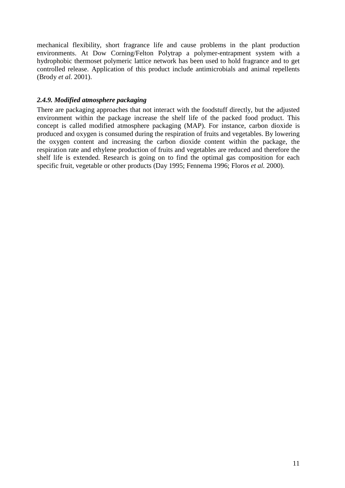mechanical flexibility, short fragrance life and cause problems in the plant production environments. At Dow Corning/Felton Polytrap a polymer-entrapment system with a hydrophobic thermoset polymeric lattice network has been used to hold fragrance and to get controlled release. Application of this product include antimicrobials and animal repellents (Brody *et al.* 2001).

#### <span id="page-13-0"></span>*2.4.9. Modified atmosphere packaging*

There are packaging approaches that not interact with the foodstuff directly, but the adjusted environment within the package increase the shelf life of the packed food product. This concept is called modified atmosphere packaging (MAP). For instance, carbon dioxide is produced and oxygen is consumed during the respiration of fruits and vegetables. By lowering the oxygen content and increasing the carbon dioxide content within the package, the respiration rate and ethylene production of fruits and vegetables are reduced and therefore the shelf life is extended. Research is going on to find the optimal gas composition for each specific fruit, vegetable or other products (Day 1995; Fennema 1996; Floros *et al.* 2000).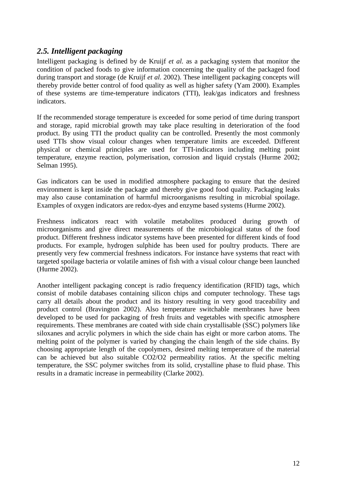#### <span id="page-14-0"></span>*2.5. Intelligent packaging*

Intelligent packaging is defined by de Kruijf *et al.* as a packaging system that monitor the condition of packed foods to give information concerning the quality of the packaged food during transport and storage (de Kruijf *et al.* 2002). These intelligent packaging concepts will thereby provide better control of food quality as well as higher safety (Yam 2000). Examples of these systems are time-temperature indicators (TTI), leak/gas indicators and freshness indicators.

If the recommended storage temperature is exceeded for some period of time during transport and storage, rapid microbial growth may take place resulting in deterioration of the food product. By using TTI the product quality can be controlled. Presently the most commonly used TTIs show visual colour changes when temperature limits are exceeded. Different physical or chemical principles are used for TTI-indicators including melting point temperature, enzyme reaction, polymerisation, corrosion and liquid crystals (Hurme 2002; Selman 1995).

Gas indicators can be used in modified atmosphere packaging to ensure that the desired environment is kept inside the package and thereby give good food quality. Packaging leaks may also cause contamination of harmful microorganisms resulting in microbial spoilage. Examples of oxygen indicators are redox-dyes and enzyme based systems (Hurme 2002).

Freshness indicators react with volatile metabolites produced during growth of microorganisms and give direct measurements of the microbiological status of the food product. Different freshness indicator systems have been presented for different kinds of food products. For example, hydrogen sulphide has been used for poultry products. There are presently very few commercial freshness indicators. For instance have systems that react with targeted spoilage bacteria or volatile amines of fish with a visual colour change been launched (Hurme 2002).

Another intelligent packaging concept is radio frequency identification (RFID) tags, which consist of mobile databases containing silicon chips and computer technology. These tags carry all details about the product and its history resulting in very good traceability and product control (Bravington 2002). Also temperature switchable membranes have been developed to be used for packaging of fresh fruits and vegetables with specific atmosphere requirements. These membranes are coated with side chain crystallisable (SSC) polymers like siloxanes and acrylic polymers in which the side chain has eight or more carbon atoms. The melting point of the polymer is varied by changing the chain length of the side chains. By choosing appropriate length of the copolymers, desired melting temperature of the material can be achieved but also suitable CO2/O2 permeability ratios. At the specific melting temperature, the SSC polymer switches from its solid, crystalline phase to fluid phase. This results in a dramatic increase in permeability (Clarke 2002).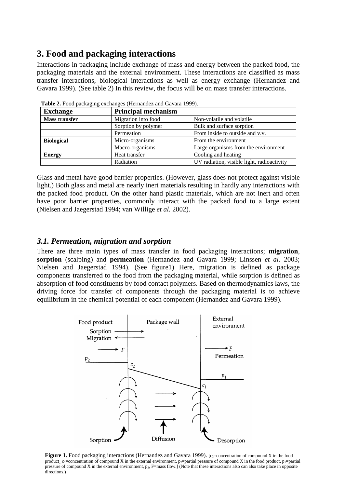#### <span id="page-15-0"></span>**3. Food and packaging interactions**

Interactions in packaging include exchange of mass and energy between the packed food, the packaging materials and the external environment. These interactions are classified as mass transfer interactions, biological interactions as well as energy exchange (Hernandez and Gavara 1999). (See table 2) In this review, the focus will be on mass transfer interactions.

| <b>Exchange</b>      | <b>Principal mechanism</b> |                                            |
|----------------------|----------------------------|--------------------------------------------|
| <b>Mass transfer</b> | Migration into food        | Non-volatile and volatile                  |
|                      | Sorption by polymer        | Bulk and surface sorption                  |
|                      | Permeation                 | From inside to outside and v.v.            |
| <b>Biological</b>    | Micro-organisms            | From the environment                       |
|                      | Macro-organisms            | Large organisms from the environment       |
| <b>Energy</b>        | Heat transfer              | Cooling and heating                        |
|                      | Radiation                  | UV radiation, visible light, radioactivity |

**Table 2.** Food packaging exchanges (Hernandez and Gavara 1999).

Glass and metal have good barrier properties. (However, glass does not protect against visible light.) Both glass and metal are nearly inert materials resulting in hardly any interactions with the packed food product. On the other hand plastic materials, which are not inert and often have poor barrier properties, commonly interact with the packed food to a large extent (Nielsen and Jaegerstad 1994; van Willige *et al.* 2002).

#### <span id="page-15-1"></span>*3.1. Permeation, migration and sorption*

There are three main types of mass transfer in food packaging interactions; **migration**, **sorption** (scalping) and **permeation** (Hernandez and Gavara 1999; Linssen *et al.* 2003; Nielsen and Jaegerstad 1994). (See figure1) Here, migration is defined as package components transferred to the food from the packaging material, while sorption is defined as absorption of food constituents by food contact polymers. Based on thermodynamics laws, the driving force for transfer of components through the packaging material is to achieve equilibrium in the chemical potential of each component (Hernandez and Gavara 1999).



product<sub>, C1</sub>=concentration of compound X in the external environment, p<sub>2</sub>=partial pressure of compound X in the food product, p<sub>1</sub>=partia<br>pressure of compound X in the external environment, p<sub>2</sub>, F=mass flow.] (Note that **Figure 1.** Food packaging interactions (Hernandez and Gavara 1999). [c<sub>2</sub>=concentration of compound X in the food product,  $c_1$ =concentration of compound X in the external environment, p<sub>2</sub>=partial pressure of compound X in the food product, p<sub>1</sub>=partial directions.)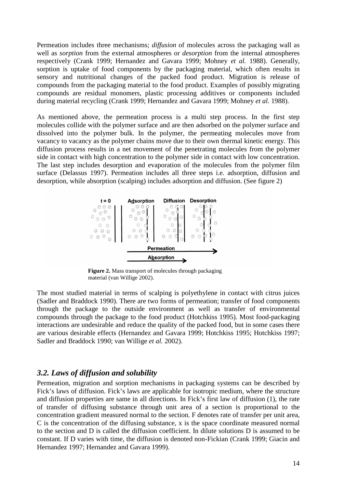Permeation includes three mechanisms; *diffusion* of molecules across the packaging wall as well as *sorption* from the external atmospheres or *desorption* from the internal atmospheres respectively (Crank 1999; Hernandez and Gavara 1999; Mohney *et al.* 1988). Generally, sorption is uptake of food components by the packaging material, which often results in sensory and nutritional changes of the packed food product. Migration is release of compounds from the packaging material to the food product. Examples of possibly migrating compounds are residual monomers, plastic processing additives or components included during material recycling (Crank 1999; Hernandez and Gavara 1999; Mohney *et al.* 1988).

As mentioned above, the permeation process is a multi step process. In the first step molecules collide with the polymer surface and are then adsorbed on the polymer surface and dissolved into the polymer bulk. In the polymer, the permeating molecules move from vacancy to vacancy as the polymer chains move due to their own thermal kinetic energy. This diffusion process results in a net movement of the penetrating molecules from the polymer side in contact with high concentration to the polymer side in contact with low concentration. The last step includes desorption and evaporation of the molecules from the polymer film surface (Delassus 1997). Permeation includes all three steps i.e. adsorption, diffusion and desorption, while absorption (scalping) includes adsorption and diffusion. (See figure 2)



**Figure 2.** Mass transport of molecules through packaging material (van Willige 2002).

The most studied material in terms of scalping is polyethylene in contact with citrus juices (Sadler and Braddock 1990). There are two forms of permeation; transfer of food components through the package to the outside environment as well as transfer of environmental compounds through the package to the food product (Hotchkiss 1995). Most food-packaging interactions are undesirable and reduce the quality of the packed food, but in some cases there are various desirable effects (Hernandez and Gavara 1999; Hotchkiss 1995; Hotchkiss 1997; Sadler and Braddock 1990; van Willige *et al.* 2002).

#### <span id="page-16-0"></span>*3.2. Laws of diffusion and solubility*

Permeation, migration and sorption mechanisms in packaging systems can be described by Fick's laws of diffusion. Fick's laws are applicable for isotropic medium, where the structure and diffusion properties are same in all directions. In Fick's first law of diffusion (1), the rate of transfer of diffusing substance through unit area of a section is proportional to the concentration gradient measured normal to the section. F denotes rate of transfer per unit area, C is the concentration of the diffusing substance, x is the space coordinate measured normal to the section and D is called the diffusion coefficient. In dilute solutions D is assumed to be constant. If D varies with time, the diffusion is denoted non-Fickian (Crank 1999; Giacin and Hernandez 1997; Hernandez and Gavara 1999).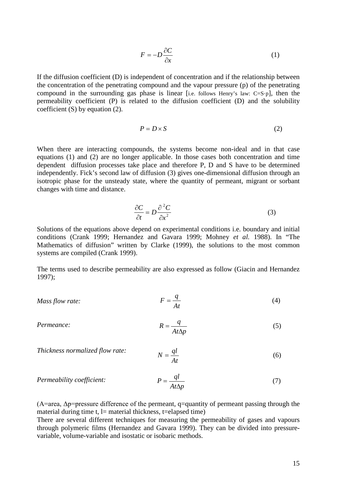$$
F = -D\frac{\partial C}{\partial x} \tag{1}
$$

If the diffusion coefficient (D) is independent of concentration and if the relationship between the concentration of the penetrating compound and the vapour pressure (p) of the penetrating compound in the surrounding gas phase is linear [i.e. follows Henry's law: C=S·p], then the permeability coefficient (P) is related to the diffusion coefficient (D) and the solubility coefficient (S) by equation (2).

$$
P = D \times S \tag{2}
$$

When there are interacting compounds, the systems become non-ideal and in that case equations (1) and (2) are no longer applicable. In those cases both concentration and time dependent diffusion processes take place and therefore P, D and S have to be determined independently. Fick's second law of diffusion (3) gives one-dimensional diffusion through an isotropic phase for the unsteady state, where the quantity of permeant, migrant or sorbant changes with time and distance.

$$
\frac{\partial C}{\partial t} = D \frac{\partial^2 C}{\partial x^2} \tag{3}
$$

Solutions of the equations above depend on experimental conditions i.e. boundary and initial conditions (Crank 1999; Hernandez and Gavara 1999; Mohney *et al.* 1988). In "The Mathematics of diffusion" written by Clarke (1999), the solutions to the most common systems are compiled (Crank 1999).

The terms used to describe permeability are also expressed as follow (Giacin and Hernandez 1997);

Mass flow rate: 
$$
F = \frac{q}{At}
$$
 (4)

*Permeance:*

$$
R = \frac{q}{At\Delta p} \tag{5}
$$

*Thickness normalized flow rate:* 
$$
N = \frac{ql}{At}
$$
 (6)

$$
Permeability coefficient: \t\t P = \frac{ql}{At\Delta p} \t\t(7)
$$

 $(A=area, \Delta p=pressure$  difference of the permeant, q=quantity of permeant passing through the material during time  $t$ , l= material thickness, t=elapsed time)

There are several different techniques for measuring the permeability of gases and vapours through polymeric films (Hernandez and Gavara 1999). They can be divided into pressurevariable, volume-variable and isostatic or isobaric methods.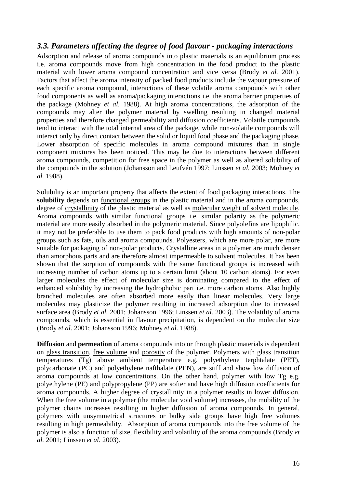#### <span id="page-18-0"></span>*3.3. Parameters affecting the degree of food flavour - packaging interactions*

Adsorption and release of aroma compounds into plastic materials is an equilibrium process i.e. aroma compounds move from high concentration in the food product to the plastic material with lower aroma compound concentration and vice versa (Brody *et al.* 2001). Factors that affect the aroma intensity of packed food products include the vapour pressure of each specific aroma compound, interactions of these volatile aroma compounds with other food components as well as aroma/packaging interactions i.e. the aroma barrier properties of the package (Mohney *et al.* 1988). At high aroma concentrations, the adsorption of the compounds may alter the polymer material by swelling resulting in changed material properties and therefore changed permeability and diffusion coefficients. Volatile compounds tend to interact with the total internal area of the package, while non-volatile compounds will interact only by direct contact between the solid or liquid food phase and the packaging phase. Lower absorption of specific molecules in aroma compound mixtures than in single component mixtures has been noticed. This may be due to interactions between different aroma compounds, competition for free space in the polymer as well as altered solubility of the compounds in the solution (Johansson and Leufvén 1997; Linssen *et al.* 2003; Mohney *et al.* 1988).

Solubility is an important property that affects the extent of food packaging interactions. The **solubility** depends on functional groups in the plastic material and in the aroma compounds, degree of crystallinity of the plastic material as well as molecular weight of solvent molecule. Aroma compounds with similar functional groups i.e. similar polarity as the polymeric material are more easily absorbed in the polymeric material. Since polyolefins are lipophilic, it may not be preferable to use them to pack food products with high amounts of non-polar groups such as fats, oils and aroma compounds. Polyesters, which are more polar, are more suitable for packaging of non-polar products. Crystalline areas in a polymer are much denser than amorphous parts and are therefore almost impermeable to solvent molecules. It has been shown that the sorption of compounds with the same functional groups is increased with increasing number of carbon atoms up to a certain limit (about 10 carbon atoms). For even larger molecules the effect of molecular size is dominating compared to the effect of enhanced solubility by increasing the hydrophobic part i.e. more carbon atoms. Also highly branched molecules are often absorbed more easily than linear molecules. Very large molecules may plasticize the polymer resulting in increased adsorption due to increased surface area (Brody *et al.* 2001; Johansson 1996; Linssen *et al.* 2003). The volatility of aroma compounds, which is essential in flavour precipitation, is dependent on the molecular size (Brody *et al.* 2001; Johansson 1996; Mohney *et al.* 1988).

**Diffusion** and **permeation** of aroma compounds into or through plastic materials is dependent on glass transition, free volume and porosity of the polymer. Polymers with glass transition temperatures (Tg) above ambient temperature e.g. polyethylene terphtalate (PET), polycarbonate (PC) and polyethylene nafthalate (PEN), are stiff and show low diffusion of aroma compounds at low concentrations. On the other hand, polymer with low Tg e.g. polyethylene (PE) and polypropylene (PP) are softer and have high diffusion coefficients for aroma compounds. A higher degree of crystallinity in a polymer results in lower diffusion. When the free volume in a polymer (the molecular void volume) increases, the mobility of the polymer chains increases resulting in higher diffusion of aroma compounds. In general, polymers with unsymmetrical structures or bulky side groups have high free volumes resulting in high permeability. Absorption of aroma compounds into the free volume of the polymer is also a function of size, flexibility and volatility of the aroma compounds (Brody *et al.* 2001; Linssen *et al.* 2003).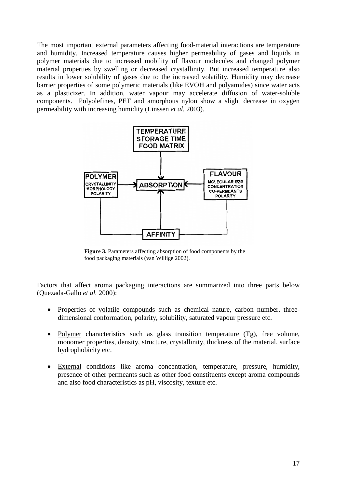The most important external parameters affecting food-material interactions are temperature and humidity. Increased temperature causes higher permeability of gases and liquids in polymer materials due to increased mobility of flavour molecules and changed polymer material properties by swelling or decreased crystallinity. But increased temperature also results in lower solubility of gases due to the increased volatility. Humidity may decrease barrier properties of some polymeric materials (like EVOH and polyamides) since water acts as a plasticizer. In addition, water vapour may accelerate diffusion of water-soluble components. Polyolefines, PET and amorphous nylon show a slight decrease in oxygen permeability with increasing humidity (Linssen *et al.* 2003).



**Figure 3.** Parameters affecting absorption of food components by the food packaging materials (van Willige 2002).

Factors that affect aroma packaging interactions are summarized into three parts below (Quezada-Gallo *et al.* 2000):

- Properties of volatile compounds such as chemical nature, carbon number, threedimensional conformation, polarity, solubility, saturated vapour pressure etc.
- Polymer characteristics such as glass transition temperature (Tg), free volume, monomer properties, density, structure, crystallinity, thickness of the material, surface hydrophobicity etc.
- External conditions like aroma concentration, temperature, pressure, humidity, presence of other permeants such as other food constituents except aroma compounds and also food characteristics as pH, viscosity, texture etc.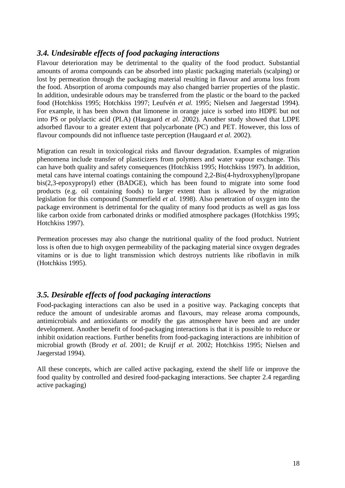#### <span id="page-20-0"></span>*3.4. Undesirable effects of food packaging interactions*

Flavour deterioration may be detrimental to the quality of the food product. Substantial amounts of aroma compounds can be absorbed into plastic packaging materials (scalping) or lost by permeation through the packaging material resulting in flavour and aroma loss from the food. Absorption of aroma compounds may also changed barrier properties of the plastic. In addition, undesirable odours may be transferred from the plastic or the board to the packed food (Hotchkiss 1995; Hotchkiss 1997; Leufvén *et al.* 1995; Nielsen and Jaegerstad 1994). For example, it has been shown that limonene in orange juice is sorbed into HDPE but not into PS or polylactic acid (PLA) (Haugaard *et al.* 2002). Another study showed that LDPE adsorbed flavour to a greater extent that polycarbonate (PC) and PET. However, this loss of flavour compounds did not influence taste perception (Haugaard *et al.* 2002).

Migration can result in toxicological risks and flavour degradation. Examples of migration phenomena include transfer of plasticizers from polymers and water vapour exchange. This can have both quality and safety consequences (Hotchkiss 1995; Hotchkiss 1997). In addition, metal cans have internal coatings containing the compound 2,2-Bis(4-hydroxyphenyl)propane bis(2,3-epoxypropyl) ether (BADGE), which has been found to migrate into some food products (e.g. oil containing foods) to larger extent than is allowed by the migration legislation for this compound (Summerfield *et al.* 1998). Also penetration of oxygen into the package environment is detrimental for the quality of many food products as well as gas loss like carbon oxide from carbonated drinks or modified atmosphere packages (Hotchkiss 1995; Hotchkiss 1997).

Permeation processes may also change the nutritional quality of the food product. Nutrient loss is often due to high oxygen permeability of the packaging material since oxygen degrades vitamins or is due to light transmission which destroys nutrients like riboflavin in milk (Hotchkiss 1995).

#### <span id="page-20-1"></span>*3.5. Desirable effects of food packaging interactions*

Food-packaging interactions can also be used in a positive way. Packaging concepts that reduce the amount of undesirable aromas and flavours, may release aroma compounds, antimicrobials and antioxidants or modify the gas atmosphere have been and are under development. Another benefit of food-packaging interactions is that it is possible to reduce or inhibit oxidation reactions. Further benefits from food-packaging interactions are inhibition of microbial growth (Brody *et al.* 2001; de Kruijf *et al.* 2002; Hotchkiss 1995; Nielsen and Jaegerstad 1994).

All these concepts, which are called active packaging, extend the shelf life or improve the food quality by controlled and desired food-packaging interactions. See chapter 2.4 regarding active packaging)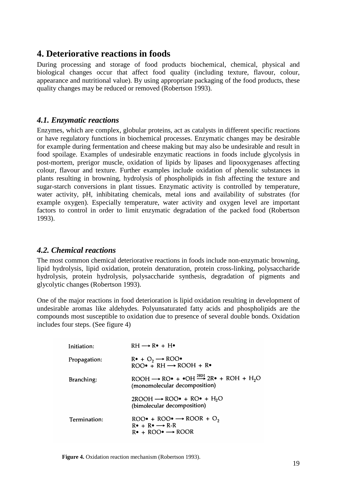#### <span id="page-21-0"></span>**4. Deteriorative reactions in foods**

During processing and storage of food products biochemical, chemical, physical and biological changes occur that affect food quality (including texture, flavour, colour, appearance and nutritional value). By using appropriate packaging of the food products, these quality changes may be reduced or removed (Robertson 1993).

#### <span id="page-21-1"></span>*4.1. Enzymatic reactions*

Enzymes, which are complex, globular proteins, act as catalysts in different specific reactions or have regulatory functions in biochemical processes. Enzymatic changes may be desirable for example during fermentation and cheese making but may also be undesirable and result in food spoilage. Examples of undesirable enzymatic reactions in foods include glycolysis in post-mortem, prerigor muscle, oxidation of lipids by lipases and lipooxygenases affecting colour, flavour and texture. Further examples include oxidation of phenolic substances in plants resulting in browning, hydrolysis of phospholipids in fish affecting the texture and sugar-starch conversions in plant tissues. Enzymatic activity is controlled by temperature, water activity, pH, inhibitating chemicals, metal ions and availability of substrates (for example oxygen). Especially temperature, water activity and oxygen level are important factors to control in order to limit enzymatic degradation of the packed food (Robertson 1993).

#### <span id="page-21-2"></span>*4.2. Chemical reactions*

The most common chemical deteriorative reactions in foods include non-enzymatic browning, lipid hydrolysis, lipid oxidation, protein denaturation, protein cross-linking, polysaccharide hydrolysis, protein hydrolysis, polysaccharide synthesis, degradation of pigments and glycolytic changes (Robertson 1993).

One of the major reactions in food deterioration is lipid oxidation resulting in development of undesirable aromas like aldehydes. Polyunsaturated fatty acids and phospholipids are the compounds most susceptible to oxidation due to presence of several double bonds. Oxidation includes four steps. (See figure 4)

| Initiation:  | $RH \longrightarrow R\bullet + H\bullet$                                                                                                                          |
|--------------|-------------------------------------------------------------------------------------------------------------------------------------------------------------------|
| Propagation: | $R^{\bullet} + O_2 \longrightarrow ROO^{\bullet}$<br>$ROO\bullet + RH \longrightarrow ROOH + R\bullet$                                                            |
| Branching:   | $ROOH \longrightarrow RO\bullet + \bullet OH \stackrel{2RH}{\longrightarrow} 2R\bullet + ROH + H, O$<br>(monomolecular decomposition)                             |
|              | $2ROOH \rightarrow ROO\bullet + RO\bullet + H_2O$<br>(bimolecular decomposition)                                                                                  |
| Termination: | ROO $\bullet$ + ROO $\bullet \rightarrow$ ROOR + O <sub>2</sub><br>$R \bullet + R \bullet \longrightarrow R-R$<br>$R \bullet + ROO \bullet \longrightarrow ROO R$ |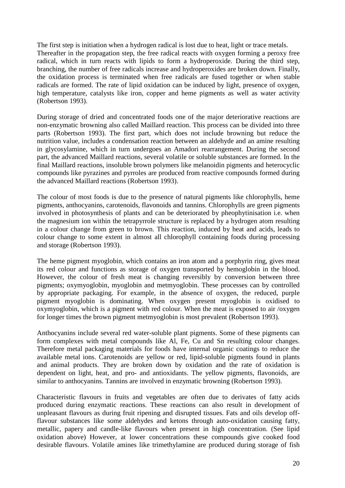The first step is initiation when a hydrogen radical is lost due to heat, light or trace metals. Thereafter in the propagation step, the free radical reacts with oxygen forming a peroxy free radical, which in turn reacts with lipids to form a hydroperoxide. During the third step, branching, the number of free radicals increase and hydroperoxides are broken down. Finally, the oxidation process is terminated when free radicals are fused together or when stable radicals are formed. The rate of lipid oxidation can be induced by light, presence of oxygen, high temperature, catalysts like iron, copper and heme pigments as well as water activity (Robertson 1993).

During storage of dried and concentrated foods one of the major deteriorative reactions are non-enzymatic browning also called Maillard reaction. This process can be divided into three parts (Robertson 1993). The first part, which does not include browning but reduce the nutrition value, includes a condensation reaction between an aldehyde and an amine resulting in glycosylamine, which in turn undergoes an Amadori rearrangement. During the second part, the advanced Maillard reactions, several volatile or soluble substances are formed. In the final Maillard reactions, insoluble brown polymers like melanoidin pigments and heterocyclic compounds like pyrazines and pyrroles are produced from reactive compounds formed during the advanced Maillard reactions (Robertson 1993).

The colour of most foods is due to the presence of natural pigments like chlorophylls, heme pigments, anthocyanins, carotenoids, flavonoids and tannins. Chlorophylls are green pigments involved in photosynthesis of plants and can be deteriorated by pheophytinisation i.e. when the magnesium ion within the tetrapyrrole structure is replaced by a hydrogen atom resulting in a colour change from green to brown. This reaction, induced by heat and acids, leads to colour change to some extent in almost all chlorophyll containing foods during processing and storage (Robertson 1993).

The heme pigment myoglobin, which contains an iron atom and a porphyrin ring, gives meat its red colour and functions as storage of oxygen transported by hemoglobin in the blood. However, the colour of fresh meat is changing reversibly by conversion between three pigments; oxymyoglobin, myoglobin and metmyoglobin. These processes can by controlled by appropriate packaging. For example, in the absence of oxygen, the reduced, purple pigment myoglobin is dominating. When oxygen present myoglobin is oxidised to oxymyoglobin, which is a pigment with red colour. When the meat is exposed to air /oxygen for longer times the brown pigment metmyoglobin is most prevalent (Robertson 1993).

Anthocyanins include several red water-soluble plant pigments. Some of these pigments can form complexes with metal compounds like Al, Fe, Cu and Sn resulting colour changes. Therefore metal packaging materials for foods have internal organic coatings to reduce the available metal ions. Carotenoids are yellow or red, lipid-soluble pigments found in plants and animal products. They are broken down by oxidation and the rate of oxidation is dependent on light, heat, and pro- and antioxidants. The yellow pigments, flavonoids, are similar to anthocyanins. Tannins are involved in enzymatic browning (Robertson 1993).

Characteristic flavours in fruits and vegetables are often due to derivates of fatty acids produced during enzymatic reactions. These reactions can also result in development of unpleasant flavours as during fruit ripening and disrupted tissues. Fats and oils develop offflavour substances like some aldehydes and ketons through auto-oxidation causing fatty, metallic, papery and candle-like flavours when present in high concentration. (See lipid oxidation above) However, at lower concentrations these compounds give cooked food desirable flavours. Volatile amines like trimethylamine are produced during storage of fish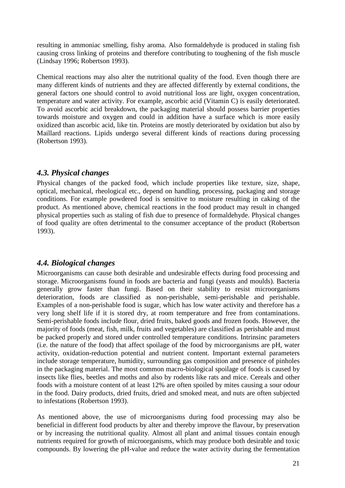resulting in ammoniac smelling, fishy aroma. Also formaldehyde is produced in staling fish causing cross linking of proteins and therefore contributing to toughening of the fish muscle (Lindsay 1996; Robertson 1993).

Chemical reactions may also alter the nutritional quality of the food. Even though there are many different kinds of nutrients and they are affected differently by external conditions, the general factors one should control to avoid nutritional loss are light, oxygen concentration, temperature and water activity. For example, ascorbic acid (Vitamin C) is easily deteriorated. To avoid ascorbic acid breakdown, the packaging material should possess barrier properties towards moisture and oxygen and could in addition have a surface which is more easily oxidized than ascorbic acid, like tin. Proteins are mostly deteriorated by oxidation but also by Maillard reactions. Lipids undergo several different kinds of reactions during processing (Robertson 1993).

#### <span id="page-23-0"></span>*4.3. Physical changes*

Physical changes of the packed food, which include properties like texture, size, shape, optical, mechanical, rheological etc., depend on handling, processing, packaging and storage conditions. For example powdered food is sensitive to moisture resulting in caking of the product. As mentioned above, chemical reactions in the food product may result in changed physical properties such as staling of fish due to presence of formaldehyde. Physical changes of food quality are often detrimental to the consumer acceptance of the product (Robertson 1993).

#### <span id="page-23-1"></span>*4.4. Biological changes*

Microorganisms can cause both desirable and undesirable effects during food processing and storage. Microorganisms found in foods are bacteria and fungi (yeasts and moulds). Bacteria generally grow faster than fungi. Based on their stability to resist microorganisms deterioration, foods are classified as non-perishable, semi-perishable and perishable. Examples of a non-perishable food is sugar, which has low water activity and therefore has a very long shelf life if it is stored dry, at room temperature and free from contaminations. Semi-perishable foods include flour, dried fruits, baked goods and frozen foods. However, the majority of foods (meat, fish, milk, fruits and vegetables) are classified as perishable and must be packed properly and stored under controlled temperature conditions. Intrinsinc parameters (i.e. the nature of the food) that affect spoilage of the food by microorganisms are pH, water activity, oxidation-reduction potential and nutrient content. Important external parameters include storage temperature, humidity, surrounding gas composition and presence of pinholes in the packaging material. The most common macro-biological spoilage of foods is caused by insects like flies, beetles and moths and also by rodents like rats and mice. Cereals and other foods with a moisture content of at least 12% are often spoiled by mites causing a sour odour in the food. Dairy products, dried fruits, dried and smoked meat, and nuts are often subjected to infestations (Robertson 1993).

As mentioned above, the use of microorganisms during food processing may also be beneficial in different food products by alter and thereby improve the flavour, by preservation or by increasing the nutritional quality. Almost all plant and animal tissues contain enough nutrients required for growth of microorganisms, which may produce both desirable and toxic compounds. By lowering the pH-value and reduce the water activity during the fermentation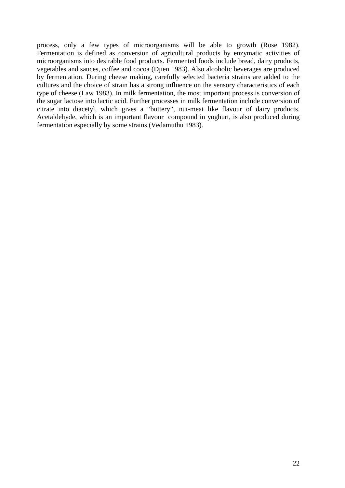process, only a few types of microorganisms will be able to growth (Rose 1982). Fermentation is defined as conversion of agricultural products by enzymatic activities of microorganisms into desirable food products. Fermented foods include bread, dairy products, vegetables and sauces, coffee and cocoa (Djien 1983). Also alcoholic beverages are produced by fermentation. During cheese making, carefully selected bacteria strains are added to the cultures and the choice of strain has a strong influence on the sensory characteristics of each type of cheese (Law 1983). In milk fermentation, the most important process is conversion of the sugar lactose into lactic acid. Further processes in milk fermentation include conversion of citrate into diacetyl, which gives a "buttery", nut-meat like flavour of dairy products. Acetaldehyde, which is an important flavour compound in yoghurt, is also produced during fermentation especially by some strains (Vedamuthu 1983).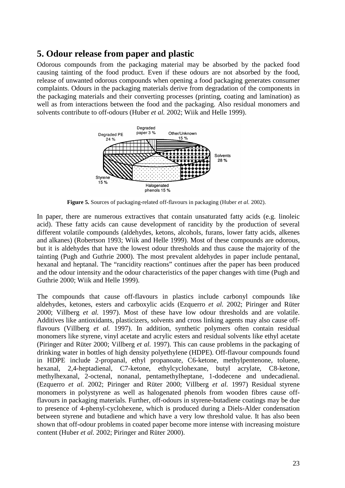#### <span id="page-25-0"></span>**5. Odour release from paper and plastic**

Odorous compounds from the packaging material may be absorbed by the packed food causing tainting of the food product. Even if these odours are not absorbed by the food, release of unwanted odorous compounds when opening a food packaging generates consumer complaints. Odours in the packaging materials derive from degradation of the components in the packaging materials and their converting processes (printing, coating and lamination) as well as from interactions between the food and the packaging. Also residual monomers and solvents contribute to off-odours (Huber *et al.* 2002; Wiik and Helle 1999).



**Figure 5.** Sources of packaging-related off-flavours in packaging (Huber *et al.* 2002).

In paper, there are numerous extractives that contain unsaturated fatty acids (e.g. linoleic acid). These fatty acids can cause development of rancidity by the production of several different volatile compounds (aldehydes, ketons, alcohols, furans, lower fatty acids, alkenes and alkanes) (Robertson 1993; Wiik and Helle 1999). Most of these compounds are odorous, but it is aldehydes that have the lowest odour thresholds and thus cause the majority of the tainting (Pugh and Guthrie 2000). The most prevalent aldehydes in paper include pentanal, hexanal and heptanal. The "rancidity reactions" continues after the paper has been produced and the odour intensity and the odour characteristics of the paper changes with time (Pugh and Guthrie 2000; Wiik and Helle 1999).

The compounds that cause off-flavours in plastics include carbonyl compounds like aldehydes, ketones, esters and carboxylic acids (Ezquerro *et al.* 2002; Piringer and Rüter 2000; Villberg *et al.* 1997). Most of these have low odour thresholds and are volatile. Additives like antioxidants, plasticizers, solvents and cross linking agents may also cause offflavours (Villberg *et al.* 1997). In addition, synthetic polymers often contain residual monomers like styrene, vinyl acetate and acrylic esters and residual solvents like ethyl acetate (Piringer and Rüter 2000; Villberg *et al.* 1997). This can cause problems in the packaging of drinking water in bottles of high density polyethylene (HDPE). Off-flavour compounds found in HDPE include 2-propanal, ethyl propanoate, C6-ketone, methylpentenone, toluene, hexanal, 2,4-heptadienal, C7-ketone, ethylcyclohexane, butyl acrylate, C8-ketone, methylhexanal, 2-octenal, nonanal, pentamethylheptane, 1-dodecene and undecadienal. (Ezquerro *et al.* 2002; Piringer and Rüter 2000; Villberg *et al.* 1997) Residual styrene monomers in polystyrene as well as halogenated phenols from wooden fibres cause offflavours in packaging materials. Further, off-odours in styrene-butadiene coatings may be due to presence of 4-phenyl-cyclohexene, which is produced during a Diels-Alder condensation between styrene and butadiene and which have a very low threshold value. It has also been shown that off-odour problems in coated paper become more intense with increasing moisture content (Huber *et al.* 2002; Piringer and Rüter 2000).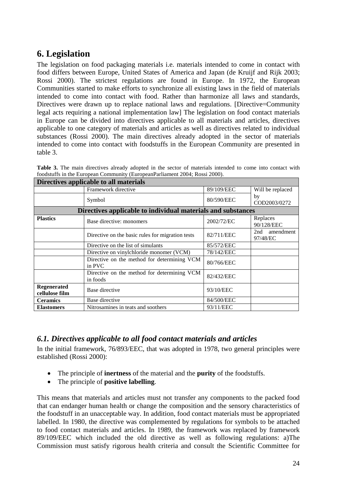#### <span id="page-26-0"></span>**6. Legislation**

The legislation on food packaging materials i.e. materials intended to come in contact with food differs between Europe, United States of America and Japan (de Kruijf and Rijk 2003; Rossi 2000). The strictest regulations are found in Europe. In 1972, the European Communities started to make efforts to synchronize all existing laws in the field of materials intended to come into contact with food. Rather than harmonize all laws and standards, Directives were drawn up to replace national laws and regulations. [Directive=Community legal acts requiring a national implementation law] The legislation on food contact materials in Europe can be divided into directives applicable to all materials and articles, directives applicable to one category of materials and articles as well as directives related to individual substances (Rossi 2000). The main directives already adopted in the sector of materials intended to come into contact with foodstuffs in the European Community are presented in table 3.

| Directives applicable to all materials |                                                              |            |                           |  |
|----------------------------------------|--------------------------------------------------------------|------------|---------------------------|--|
|                                        | Framework directive                                          | 89/109/EEC | Will be replaced          |  |
|                                        | Symbol                                                       | 80/590/EEC | by<br>COD2003/0272        |  |
|                                        | Directives applicable to individual materials and substances |            |                           |  |
| <b>Plastics</b>                        | Base directive: monomers                                     | 2002/72/EC | Replaces<br>90/128/EEC    |  |
|                                        | Directive on the basic rules for migration tests             | 82/711/EEC | 2nd amendment<br>97/48/EC |  |
|                                        | Directive on the list of simulants                           | 85/572/EEC |                           |  |
|                                        | Directive on vinylchloride monomer (VCM)                     | 78/142/EEC |                           |  |
|                                        | Directive on the method for determining VCM<br>in PVC        | 80/766/EEC |                           |  |
|                                        | Directive on the method for determining VCM<br>in foods      | 82/432/EEC |                           |  |
| Regenerated<br>cellulose film          | Base directive                                               | 93/10/EEC  |                           |  |
| <b>Ceramics</b>                        | Base directive                                               | 84/500/EEC |                           |  |
| <b>Elastomers</b>                      | Nitrosamines in teats and soothers                           | 93/11/EEC  |                           |  |

**Table 3.** The main directives already adopted in the sector of materials intended to come into contact with foodstuffs in the European Community (EuropeanParliament 2004; Rossi 2000).

#### <span id="page-26-1"></span>*6.1. Directives applicable to all food contact materials and articles*

In the initial framework, 76/893/EEC, that was adopted in 1978, two general principles were established (Rossi 2000):

- The principle of **inertness** of the material and the **purity** of the foodstuffs.
- The principle of **positive labelling**.

This means that materials and articles must not transfer any components to the packed food that can endanger human health or change the composition and the sensory characteristics of the foodstuff in an unacceptable way. In addition, food contact materials must be appropriated labelled. In 1980, the directive was complemented by regulations for symbols to be attached to food contact materials and articles. In 1989, the framework was replaced by framework 89/109/EEC which included the old directive as well as following regulations: a)The Commission must satisfy rigorous health criteria and consult the Scientific Committee for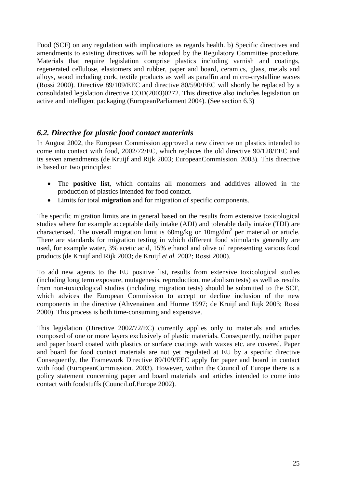Food (SCF) on any regulation with implications as regards health. b) Specific directives and amendments to existing directives will be adopted by the Regulatory Committee procedure. Materials that require legislation comprise plastics including varnish and coatings, regenerated cellulose, elastomers and rubber, paper and board, ceramics, glass, metals and alloys, wood including cork, textile products as well as paraffin and micro-crystalline waxes (Rossi 2000). Directive 89/109/EEC and directive 80/590/EEC will shortly be replaced by a consolidated legislation directive COD(2003)0272. This directive also includes legislation on active and intelligent packaging (EuropeanParliament 2004). (See section 6.3)

#### <span id="page-27-0"></span>*6.2. Directive for plastic food contact materials*

In August 2002, the European Commission approved a new directive on plastics intended to come into contact with food, 2002/72/EC, which replaces the old directive 90/128/EEC and its seven amendments (de Kruijf and Rijk 2003; EuropeanCommission. 2003). This directive is based on two principles:

- The **positive list**, which contains all monomers and additives allowed in the production of plastics intended for food contact.
- Limits for total **migration** and for migration of specific components.

The specific migration limits are in general based on the results from extensive toxicological studies where for example acceptable daily intake (ADI) and tolerable daily intake (TDI) are characterised. The overall migration limit is  $60$ mg/kg or  $10$ mg/dm<sup>2</sup> per material or article. There are standards for migration testing in which different food stimulants generally are used, for example water, 3% acetic acid, 15% ethanol and olive oil representing various food products (de Kruijf and Rijk 2003; de Kruijf *et al.* 2002; Rossi 2000).

To add new agents to the EU positive list, results from extensive toxicological studies (including long term exposure, mutagenesis, reproduction, metabolism tests) as well as results from non-toxicological studies (including migration tests) should be submitted to the SCF, which advices the European Commission to accept or decline inclusion of the new components in the directive (Ahvenainen and Hurme 1997; de Kruijf and Rijk 2003; Rossi 2000). This process is both time-consuming and expensive.

This legislation (Directive 2002/72/EC) currently applies only to materials and articles composed of one or more layers exclusively of plastic materials. Consequently, neither paper and paper board coated with plastics or surface coatings with waxes etc. are covered. Paper and board for food contact materials are not yet regulated at EU by a specific directive Consequently, the Framework Directive 89/109/EEC apply for paper and board in contact with food (EuropeanCommission. 2003). However, within the Council of Europe there is a policy statement concerning paper and board materials and articles intended to come into contact with foodstuffs (Council.of.Europe 2002).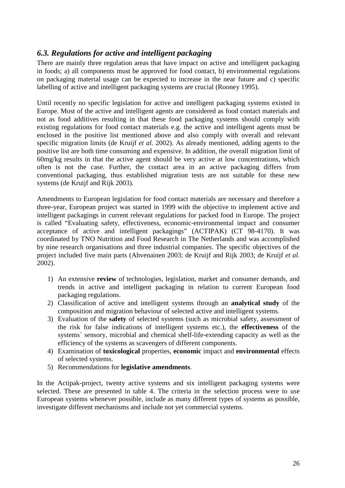#### <span id="page-28-0"></span>*6.3. Regulations for active and intelligent packaging*

There are mainly three regulation areas that have impact on active and intelligent packaging in foods; a) all components must be approved for food contact, b) environmental regulations on packaging material usage can be expected to increase in the near future and c) specific labelling of active and intelligent packaging systems are crucial (Rooney 1995).

Until recently no specific legislation for active and intelligent packaging systems existed in Europe. Most of the active and intelligent agents are considered as food contact materials and not as food additives resulting in that these food packaging systems should comply with existing regulations for food contact materials e.g. the active and intelligent agents must be enclosed in the positive list mentioned above and also comply with overall and relevant specific migration limits (de Kruijf *et al.* 2002). As already mentioned, adding agents to the positive list are both time consuming and expensive. In addition, the overall migration limit of 60mg/kg results in that the active agent should be very active at low concentrations, which often is not the case. Further, the contact area in an active packaging differs from conventional packaging, thus established migration tests are not suitable for these new systems (de Kruijf and Rijk 2003).

Amendments to European legislation for food contact materials are necessary and therefore a three-year, European project was started in 1999 with the objective to implement active and intelligent packagings in current relevant regulations for packed food in Europe. The project is called "Evaluating safety, effectiveness, economic-environmental impact and consumer acceptance of active and intelligent packagings" (ACTIPAK) (CT 98-4170). It was coordinated by TNO Nutrition and Food Research in The Netherlands and was accomplished by nine research organisations and three industrial companies. The specific objectives of the project included five main parts (Ahvenainen 2003; de Kruijf and Rijk 2003; de Kruijf *et al.* 2002).

- 1) An extensive **review** of technologies, legislation, market and consumer demands, and trends in active and intelligent packaging in relation to current European food packaging regulations.
- 2) Classification of active and intelligent systems through an **analytical study** of the composition and migration behaviour of selected active and intelligent systems.
- 3) Evaluation of the **safety** of selected systems (such as microbial safety, assessment of the risk for false indications of intelligent systems etc.), the **effectiveness** of the systems´ sensory, microbial and chemical shelf-life-extending capacity as well as the efficiency of the systems as scavengers of different components.
- 4) Examination of **toxicological** properties, **economic** impact and **environmental** effects of selected systems.
- 5) Recommendations for **legislative amendments**.

In the Actipak-project, twenty active systems and six intelligent packaging systems were selected. These are presented in table 4. The criteria in the selection process were to use European systems whenever possible, include as many different types of systems as possible, investigate different mechanisms and include not yet commercial systems.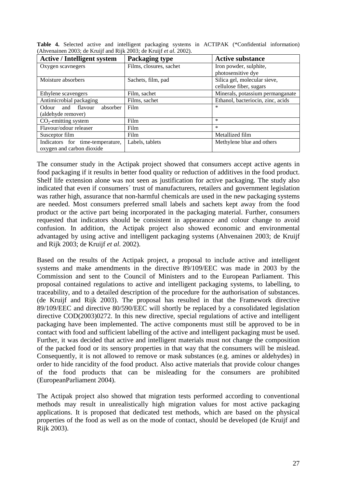| <b>Active / Intelligent system</b> | <b>Packaging type</b>   | <b>Active substance</b>           |  |
|------------------------------------|-------------------------|-----------------------------------|--|
| Oxygen scavnegers                  | Films, closures, sachet | Iron powder, sulphite,            |  |
|                                    |                         | photosensitive dye                |  |
| Moisture absorbers                 | Sachets, film, pad      | Silica gel, molecular sieve,      |  |
|                                    |                         | cellulose fiber, sugars           |  |
| Ethylene scavengers                | Film, sachet            | Minerals, potassium permanganate  |  |
| Antimicrobial packaging            | Films, sachet           | Ethanol, bacteriocin, zinc, acids |  |
| and flavour<br>absorber<br>Odour   | Film                    | $\ast$                            |  |
| (aldehyde remover)                 |                         |                                   |  |
| $CO2$ -emitting system             | Film                    | $\ast$                            |  |
| Flavour/odour releaser             | Film                    | $\ast$                            |  |
| Susceptor film                     | Film                    | Metallized film                   |  |
| Indicators for time-temperature,   | Labels, tablets         | Methylene blue and others         |  |
| oxygen and carbon dioxide          |                         |                                   |  |

**Table 4.** Selected active and intelligent packaging systems in ACTIPAK (\*Confidential information) (Ahvenainen 2003; de Kruijf and Rijk 2003; de Kruijf *et al.* 2002).

The consumer study in the Actipak project showed that consumers accept active agents in food packaging if it results in better food quality or reduction of additives in the food product. Shelf life extension alone was not seen as justification for active packaging. The study also indicated that even if consumers´ trust of manufacturers, retailers and government legislation was rather high, assurance that non-harmful chemicals are used in the new packaging systems are needed. Most consumers preferred small labels and sachets kept away from the food product or the active part being incorporated in the packaging material. Further, consumers requested that indicators should be consistent in appearance and colour change to avoid confusion. In addition, the Actipak project also showed economic and environmental advantaged by using active and intelligent packaging systems (Ahvenainen 2003; de Kruijf and Rijk 2003; de Kruijf *et al.* 2002).

Based on the results of the Actipak project, a proposal to include active and intelligent systems and make amendments in the directive 89/109/EEC was made in 2003 by the Commission and sent to the Council of Ministers and to the European Parliament. This proposal contained regulations to active and intelligent packaging systems, to labelling, to traceability, and to a detailed description of the procedure for the authorisation of substances. (de Kruijf and Rijk 2003). The proposal has resulted in that the Framework directive 89/109/EEC and directive 80/590/EEC will shortly be replaced by a consolidated legislation directive COD(2003)0272. In this new directive, special regulations of active and intelligent packaging have been implemented. The active components must still be approved to be in contact with food and sufficient labelling of the active and intelligent packaging must be used. Further, it was decided that active and intelligent materials must not change the composition of the packed food or its sensory properties in that way that the consumers will be mislead. Consequently, it is not allowed to remove or mask substances (e.g. amines or aldehydes) in order to hide rancidity of the food product. Also active materials that provide colour changes of the food products that can be misleading for the consumers are prohibited (EuropeanParliament 2004).

The Actipak project also showed that migration tests performed according to conventional methods may result in unrealistically high migration values for most active packaging applications. It is proposed that dedicated test methods, which are based on the physical properties of the food as well as on the mode of contact, should be developed (de Kruijf and Rijk 2003).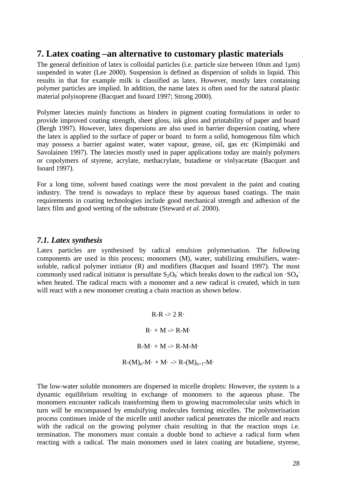#### <span id="page-30-0"></span>**7. Latex coating –an alternative to customary plastic materials**

The general definition of latex is colloidal particles (i.e. particle size between 10nm and 1µm) suspended in water (Lee 2000). Suspension is defined as dispersion of solids in liquid. This results in that for example milk is classified as latex. However, mostly latex containing polymer particles are implied. In addition, the name latex is often used for the natural plastic material polyisoprene (Bacquet and Isoard 1997; Strong 2000).

Polymer latecies mainly functions as binders in pigment coating formulations in order to provide improved coating strength, sheet gloss, ink gloss and printability of paper and board (Bergh 1997). However, latex dispersions are also used in barrier dispersion coating, where the latex is applied to the surface of paper or board to form a solid, homogenous film which may possess a barrier against water, water vapour, grease, oil, gas etc (Kimpimäki and Savolainen 1997). The latecies mostly used in paper applications today are mainly polymers or copolymers of styrene, acrylate, methacrylate, butadiene or vinlyacetate (Bacquet and Isoard 1997).

For a long time, solvent based coatings were the most prevalent in the paint and coating industry. The trend is nowadays to replace these by aqueous based coatings. The main requirements in coating technologies include good mechanical strength and adhesion of the latex film and good wetting of the substrate (Steward *et al.* 2000).

#### <span id="page-30-1"></span>*7.1. Latex synthesis*

Latex particles are synthesised by radical emulsion polymerisation. The following components are used in this process; monomers (M), water, stabilizing emulsifiers, watersoluble, radical polymer initiator (R) and modifiers (Bacquet and Isoard 1997). The most commonly used radical initiator is persulfate  $S_2O_8$  which breaks down to the radical ion  $SO_4$ when heated. The radical reacts with a monomer and a new radical is created, which in turn will react with a new monomer creating a chain reaction as shown below.

> $R-R \rightarrow 2 R$  $R \cdot + M \rightarrow R - M \cdot$  $R-M· + M \rightarrow R-M-M·$  $R-(M)<sub>n</sub>-M·+M·\rightarrow R-(M)<sub>n+1</sub>-M·$

The low-water soluble monomers are dispersed in micelle droplets: However, the system is a dynamic equilibrium resulting in exchange of monomers to the aqueous phase. The monomers encounter radicals transforming them to growing macromolecular units which in turn will be encompassed by emulsifying molecules forming micelles. The polymerisation process continues inside of the micelle until another radical penetrates the micelle and reacts with the radical on the growing polymer chain resulting in that the reaction stops i.e. termination. The monomers must contain a double bond to achieve a radical form when reacting with a radical. The main monomers used in latex coating are butadiene, styrene,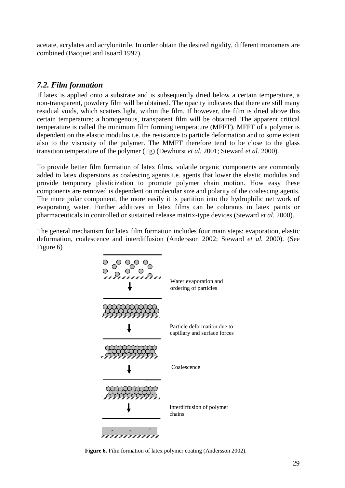acetate, acrylates and acrylonitrile. In order obtain the desired rigidity, different monomers are combined (Bacquet and Isoard 1997).

#### <span id="page-31-0"></span>*7.2. Film formation*

If latex is applied onto a substrate and is subsequently dried below a certain temperature, a non-transparent, powdery film will be obtained. The opacity indicates that there are still many residual voids, which scatters light, within the film. If however, the film is dried above this certain temperature; a homogenous, transparent film will be obtained. The apparent critical temperature is called the minimum film forming temperature (MFFT). MFFT of a polymer is dependent on the elastic modulus i.e. the resistance to particle deformation and to some extent also to the viscosity of the polymer. The MMFT therefore tend to be close to the glass transition temperature of the polymer (Tg) (Dewhurst *et al.* 2001; Steward *et al.* 2000).

To provide better film formation of latex films, volatile organic components are commonly added to latex dispersions as coalescing agents i.e. agents that lower the elastic modulus and provide temporary plasticization to promote polymer chain motion. How easy these components are removed is dependent on molecular size and polarity of the coalescing agents. The more polar component, the more easily it is partition into the hydrophilic net work of evaporating water. Further additives in latex films can be colorants in latex paints or pharmaceuticals in controlled or sustained release matrix-type devices (Steward *et al.* 2000).

The general mechanism for latex film formation includes four main steps: evaporation, elastic deformation, coalescence and interdiffusion (Andersson 2002; Steward *et al.* 2000). (See Figure 6)



 **Figure 6.** Film formation of latex polymer coating (Andersson 2002).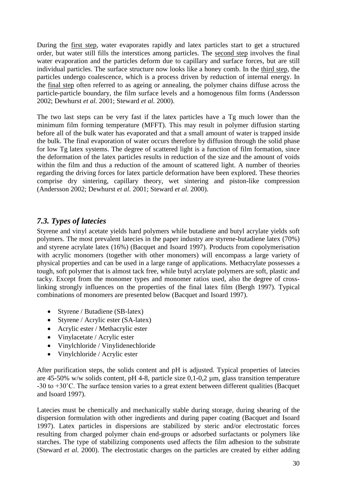During the first step, water evaporates rapidly and latex particles start to get a structured order, but water still fills the interstices among particles. The second step involves the final water evaporation and the particles deform due to capillary and surface forces, but are still individual particles. The surface structure now looks like a honey comb. In the third step, the particles undergo coalescence, which is a process driven by reduction of internal energy. In the final step often referred to as ageing or annealing, the polymer chains diffuse across the particle-particle boundary, the film surface levels and a homogenous film forms (Andersson 2002; Dewhurst *et al.* 2001; Steward *et al.* 2000).

The two last steps can be very fast if the latex particles have a Tg much lower than the minimum film forming temperature (MFFT). This may result in polymer diffusion starting before all of the bulk water has evaporated and that a small amount of water is trapped inside the bulk. The final evaporation of water occurs therefore by diffusion through the solid phase for low Tg latex systems. The degree of scattered light is a function of film formation, since the deformation of the latex particles results in reduction of the size and the amount of voids within the film and thus a reduction of the amount of scattered light. A number of theories regarding the driving forces for latex particle deformation have been explored. These theories comprise dry sintering, capillary theory, wet sintering and piston-like compression (Andersson 2002; Dewhurst *et al.* 2001; Steward *et al.* 2000).

#### <span id="page-32-0"></span>*7.3. Types of latecies*

Styrene and vinyl acetate yields hard polymers while butadiene and butyl acrylate yields soft polymers. The most prevalent latecies in the paper industry are styrene-butadiene latex (70%) and styrene acrylate latex (16%) (Bacquet and Isoard 1997). Products from copolymerisation with acrylic monomers (together with other monomers) will encompass a large variety of physical properties and can be used in a large range of applications. Methacrylate possesses a tough, soft polymer that is almost tack free, while butyl acrylate polymers are soft, plastic and tacky. Except from the monomer types and monomer ratios used, also the degree of crosslinking strongly influences on the properties of the final latex film (Bergh 1997). Typical combinations of monomers are presented below (Bacquet and Isoard 1997).

- Styrene / Butadiene (SB-latex)
- Styrene / Acrylic ester (SA-latex)
- Acrylic ester / Methacrylic ester
- Vinylacetate / Acrylic ester
- Vinylchloride / Vinylidenechloride
- Vinylchloride / Acrylic ester

After purification steps, the solids content and pH is adjusted. Typical properties of latecies are 45-50% w/w solids content, pH 4-8, particle size 0,1-0,2 µm, glass transition temperature -30 to +30˚C. The surface tension varies to a great extent between different qualities (Bacquet and Isoard 1997).

Latecies must be chemically and mechanically stable during storage, during shearing of the dispersion formulation with other ingredients and during paper coating (Bacquet and Isoard 1997). Latex particles in dispersions are stabilized by steric and/or electrostatic forces resulting from charged polymer chain end-groups or adsorbed surfactants or polymers like starches. The type of stabilizing components used affects the film adhesion to the substrate (Steward *et al.* 2000). The electrostatic charges on the particles are created by either adding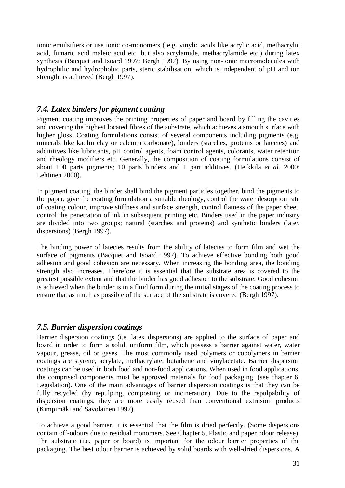ionic emulsifiers or use ionic co-monomers ( e.g. vinylic acids like acrylic acid, methacrylic acid, fumaric acid maleic acid etc. but also acrylamide, methacrylamide etc.) during latex synthesis (Bacquet and Isoard 1997; Bergh 1997). By using non-ionic macromolecules with hydrophilic and hydrophobic parts, steric stabilisation, which is independent of pH and ion strength, is achieved (Bergh 1997).

#### <span id="page-33-0"></span>*7.4. Latex binders for pigment coating*

Pigment coating improves the printing properties of paper and board by filling the cavities and covering the highest located fibres of the substrate, which achieves a smooth surface with higher gloss. Coating formulations consist of several components including pigments (e.g. minerals like kaolin clay or calcium carbonate), binders (starches, proteins or latecies) and addititives like lubricants, pH control agents, foam control agents, colorants, water retention and rheology modifiers etc. Generally, the composition of coating formulations consist of about 100 parts pigments; 10 parts binders and 1 part additives. (Heikkilä *et al.* 2000; Lehtinen 2000).

In pigment coating, the binder shall bind the pigment particles together, bind the pigments to the paper, give the coating formulation a suitable rheology, control the water desorption rate of coating colour, improve stiffness and surface strength, control flatness of the paper sheet, control the penetration of ink in subsequent printing etc. Binders used in the paper industry are divided into two groups; natural (starches and proteins) and synthetic binders (latex dispersions) (Bergh 1997).

The binding power of latecies results from the ability of latecies to form film and wet the surface of pigments (Bacquet and Isoard 1997). To achieve effective bonding both good adhesion and good cohesion are necessary. When increasing the bonding area, the bonding strength also increases. Therefore it is essential that the substrate area is covered to the greatest possible extent and that the binder has good adhesion to the substrate. Good cohesion is achieved when the binder is in a fluid form during the initial stages of the coating process to ensure that as much as possible of the surface of the substrate is covered (Bergh 1997).

#### <span id="page-33-1"></span>*7.5. Barrier dispersion coatings*

Barrier dispersion coatings (i.e. latex dispersions) are applied to the surface of paper and board in order to form a solid, uniform film, which possess a barrier against water, water vapour, grease, oil or gases. The most commonly used polymers or copolymers in barrier coatings are styrene, acrylate, methacrylate, butadiene and vinylacetate. Barrier dispersion coatings can be used in both food and non-food applications. When used in food applications, the comprised components must be approved materials for food packaging. (see chapter 6, Legislation). One of the main advantages of barrier dispersion coatings is that they can be fully recycled (by repulping, composting or incineration). Due to the repulpability of dispersion coatings, they are more easily reused than conventional extrusion products (Kimpimäki and Savolainen 1997).

To achieve a good barrier, it is essential that the film is dried perfectly. (Some dispersions contain off-odours due to residual monomers. See Chapter 5, Plastic and paper odour release). The substrate (i.e. paper or board) is important for the odour barrier properties of the packaging. The best odour barrier is achieved by solid boards with well-dried dispersions. A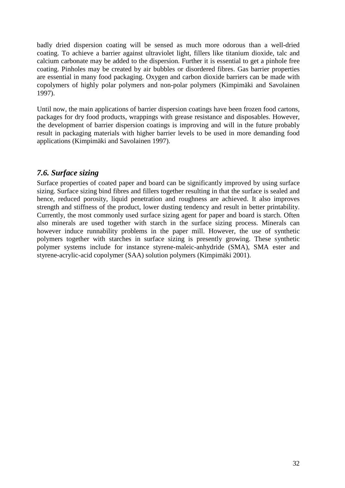badly dried dispersion coating will be sensed as much more odorous than a well-dried coating. To achieve a barrier against ultraviolet light, fillers like titanium dioxide, talc and calcium carbonate may be added to the dispersion. Further it is essential to get a pinhole free coating. Pinholes may be created by air bubbles or disordered fibres. Gas barrier properties are essential in many food packaging. Oxygen and carbon dioxide barriers can be made with copolymers of highly polar polymers and non-polar polymers (Kimpimäki and Savolainen 1997).

Until now, the main applications of barrier dispersion coatings have been frozen food cartons, packages for dry food products, wrappings with grease resistance and disposables. However, the development of barrier dispersion coatings is improving and will in the future probably result in packaging materials with higher barrier levels to be used in more demanding food applications (Kimpimäki and Savolainen 1997).

#### <span id="page-34-0"></span>*7.6. Surface sizing*

Surface properties of coated paper and board can be significantly improved by using surface sizing. Surface sizing bind fibres and fillers together resulting in that the surface is sealed and hence, reduced porosity, liquid penetration and roughness are achieved. It also improves strength and stiffness of the product, lower dusting tendency and result in better printability. Currently, the most commonly used surface sizing agent for paper and board is starch. Often also minerals are used together with starch in the surface sizing process. Minerals can however induce runnability problems in the paper mill. However, the use of synthetic polymers together with starches in surface sizing is presently growing. These synthetic polymer systems include for instance styrene-maleic-anhydride (SMA), SMA ester and styrene-acrylic-acid copolymer (SAA) solution polymers (Kimpimäki 2001).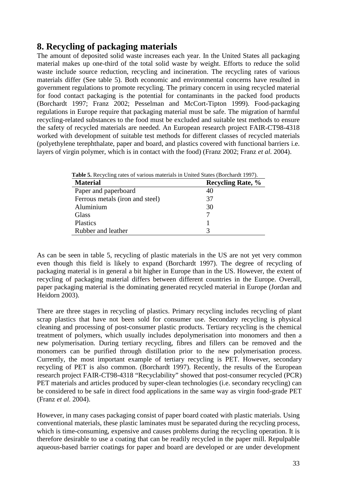#### <span id="page-35-0"></span>**8. Recycling of packaging materials**

The amount of deposited solid waste increases each year. In the United States all packaging material makes up one-third of the total solid waste by weight. Efforts to reduce the solid waste include source reduction, recycling and incineration. The recycling rates of various materials differ (See table 5). Both economic and environmental concerns have resulted in government regulations to promote recycling. The primary concern in using recycled material for food contact packaging is the potential for contaminants in the packed food products (Borchardt 1997; Franz 2002; Pesselman and McCort-Tipton 1999). Food-packaging regulations in Europe require that packaging material must be safe. The migration of harmful recycling-related substances to the food must be excluded and suitable test methods to ensure the safety of recycled materials are needed. An European research project FAIR-CT98-4318 worked with development of suitable test methods for different classes of recycled materials (polyethylene terephthalate, paper and board, and plastics covered with functional barriers i.e. layers of virgin polymer, which is in contact with the food) (Franz 2002; Franz *et al.* 2004).

| <b>Table 5.</b> Recycling rates of various materials in United States (Borchardt 1997). |                          |  |
|-----------------------------------------------------------------------------------------|--------------------------|--|
| <b>Material</b>                                                                         | <b>Recycling Rate, %</b> |  |
| Paper and paperboard                                                                    | 40                       |  |
| Ferrous metals (iron and steel)                                                         | 37                       |  |
| Aluminium                                                                               | 30                       |  |
| Glass                                                                                   |                          |  |
| <b>Plastics</b>                                                                         |                          |  |
| Rubber and leather                                                                      |                          |  |

 **Table 5.** Recycling rates of various materials in United States (Borchardt 1997).

As can be seen in table 5, recycling of plastic materials in the US are not yet very common even though this field is likely to expand (Borchardt 1997). The degree of recycling of packaging material is in general a bit higher in Europe than in the US. However, the extent of recycling of packaging material differs between different countries in the Europe. Overall, paper packaging material is the dominating generated recycled material in Europe (Jordan and Heidorn 2003).

There are three stages in recycling of plastics. Primary recycling includes recycling of plant scrap plastics that have not been sold for consumer use. Secondary recycling is physical cleaning and processing of post-consumer plastic products. Tertiary recycling is the chemical treatment of polymers, which usually includes depolymerisation into monomers and then a new polymerisation. During tertiary recycling, fibres and fillers can be removed and the monomers can be purified through distillation prior to the new polymerisation process. Currently, the most important example of tertiary recycling is PET. However, secondary recycling of PET is also common. (Borchardt 1997). Recently, the results of the European research project FAIR-CT98-4318 "Recyclability" showed that post-consumer recycled (PCR) PET materials and articles produced by super-clean technologies (i.e. secondary recycling) can be considered to be safe in direct food applications in the same way as virgin food-grade PET (Franz *et al.* 2004).

However, in many cases packaging consist of paper board coated with plastic materials. Using conventional materials, these plastic laminates must be separated during the recycling process, which is time-consuming, expensive and causes problems during the recycling operation. It is therefore desirable to use a coating that can be readily recycled in the paper mill. Repulpable aqueous-based barrier coatings for paper and board are developed or are under development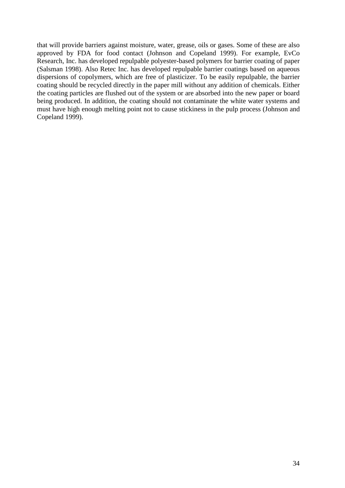that will provide barriers against moisture, water, grease, oils or gases. Some of these are also approved by FDA for food contact (Johnson and Copeland 1999). For example, EvCo Research, Inc. has developed repulpable polyester-based polymers for barrier coating of paper (Salsman 1998). Also Retec Inc. has developed repulpable barrier coatings based on aqueous dispersions of copolymers, which are free of plasticizer. To be easily repulpable, the barrier coating should be recycled directly in the paper mill without any addition of chemicals. Either the coating particles are flushed out of the system or are absorbed into the new paper or board being produced. In addition, the coating should not contaminate the white water systems and must have high enough melting point not to cause stickiness in the pulp process (Johnson and Copeland 1999).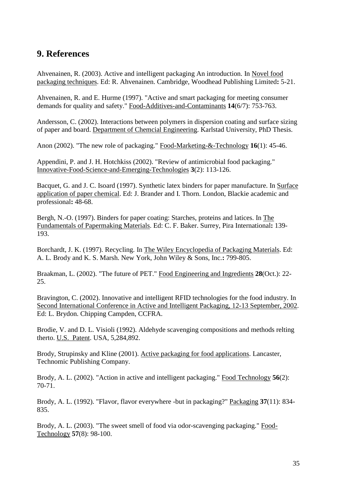#### <span id="page-37-0"></span>**9. References**

Ahvenainen, R. (2003). Active and intelligent packaging An introduction. In Novel food packaging techniques. Ed: R. Ahvenainen. Cambridge, Woodhead Publishing Limited**:** 5-21.

Ahvenainen, R. and E. Hurme (1997). "Active and smart packaging for meeting consumer demands for quality and safety." Food-Additives-and-Contaminants **14**(6/7): 753-763.

Andersson, C. (2002). Interactions between polymers in dispersion coating and surface sizing of paper and board. Department of Chemcial Engineering. Karlstad University, PhD Thesis.

Anon (2002). "The new role of packaging." Food-Marketing-&-Technology **16**(1): 45-46.

Appendini, P. and J. H. Hotchkiss (2002). "Review of antimicrobial food packaging." Innovative-Food-Science-and-Emerging-Technologies **3**(2): 113-126.

Bacquet, G. and J. C. Isoard (1997). Synthetic latex binders for paper manufacture. In Surface application of paper chemical. Ed: J. Brander and I. Thorn. London, Blackie academic and professional**:** 48-68.

Bergh, N.-O. (1997). Binders for paper coating: Starches, proteins and latices. In The Fundamentals of Papermaking Materials. Ed: C. F. Baker. Surrey, Pira International**:** 139- 193.

Borchardt, J. K. (1997). Recycling. In The Wiley Encyclopedia of Packaging Materials. Ed: A. L. Brody and K. S. Marsh. New York, John Wiley & Sons, Inc.**:** 799-805.

Braakman, L. (2002). "The future of PET." Food Engineering and Ingredients **28**(Oct.): 22- 25.

Bravington, C. (2002). Innovative and intelligent RFID technologies for the food industry. In Second International Conference in Active and Intelligent Packaging, 12-13 September, 2002. Ed: L. Brydon. Chipping Campden, CCFRA.

Brodie, V. and D. L. Visioli (1992). Aldehyde scavenging compositions and methods relting therto. U.S. Patent. USA, 5,284,892.

Brody, Strupinsky and Kline (2001). Active packaging for food applications. Lancaster, Technomic Publishing Company.

Brody, A. L. (2002). "Action in active and intelligent packaging." Food Technology **56**(2): 70-71.

Brody, A. L. (1992). "Flavor, flavor everywhere -but in packaging?" Packaging **37**(11): 834- 835.

Brody, A. L. (2003). "The sweet smell of food via odor-scavenging packaging." Food-Technology **57**(8): 98-100.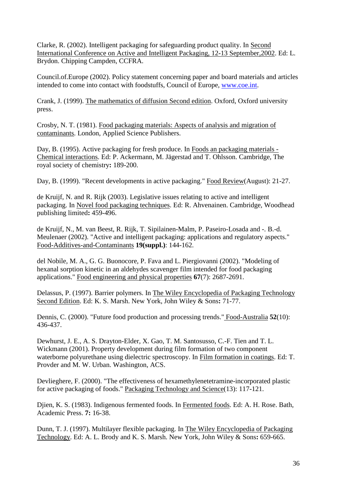Clarke, R. (2002). Intelligent packaging for safeguarding product quality. In Second International Conference on Active and Intelligent Packaging, 12-13 September,2002. Ed: L. Brydon. Chipping Campden, CCFRA.

Council.of.Europe (2002). Policy statement concerning paper and board materials and articles intended to come into contact with foodstuffs, Council of Europe, [www.coe.int.](http://www.coe.int/)

Crank, J. (1999). The mathematics of diffusion Second edition. Oxford, Oxford university press.

Crosby, N. T. (1981). Food packaging materials: Aspects of analysis and migration of contaminants. London, Applied Science Publishers.

Day, B. (1995). Active packaging for fresh produce. In Foods an packaging materials - Chemical interactions. Ed: P. Ackermann, M. Jägerstad and T. Ohlsson. Cambridge, The royal society of chemistry**:** 189-200.

Day, B. (1999). "Recent developments in active packaging." Food Review(August): 21-27.

de Kruijf, N. and R. Rijk (2003). Legislative issues relating to active and intelligent packaging. In Novel food packaging techniques. Ed: R. Ahvenainen. Cambridge, Woodhead publishing limited**:** 459-496.

de Kruijf, N., M. van Beest, R. Rijk, T. Sipilainen-Malm, P. Paseiro-Losada and -. B.-d. Meulenaer (2002). "Active and intelligent packaging: applications and regulatory aspects." Food-Additives-and-Contaminants **19(suppl.)**: 144-162.

del Nobile, M. A., G. G. Buonocore, P. Fava and L. Piergiovanni (2002). "Modeling of hexanal sorption kinetic in an aldehydes scavenger film intended for food packaging applications." Food engineering and physical properties **67**(7): 2687-2691.

Delassus, P. (1997). Barrier polymers. In The Wiley Encyclopedia of Packaging Technology Second Edition. Ed: K. S. Marsh. New York, John Wiley & Sons**:** 71-77.

Dennis, C. (2000). "Future food production and processing trends." Food-Australia **52**(10): 436-437.

Dewhurst, J. E., A. S. Drayton-Elder, X. Gao, T. M. Santosusso, C.-F. Tien and T. L. Wickmann (2001). Property development during film formation of two component waterborne polyurethane using dielectric spectroscopy. In Film formation in coatings. Ed: T. Provder and M. W. Urban. Washington, ACS.

Devlieghere, F. (2000). "The effectiveness of hexamethylenetetramine-incorporated plastic for active packaging of foods." Packaging Technology and Science(13): 117-121.

Djien, K. S. (1983). Indigenous fermented foods. In Fermented foods. Ed: A. H. Rose. Bath, Academic Press. **7:** 16-38.

Dunn, T. J. (1997). Multilayer flexible packaging. In The Wiley Encyclopedia of Packaging Technology. Ed: A. L. Brody and K. S. Marsh. New York, John Wiley & Sons**:** 659-665.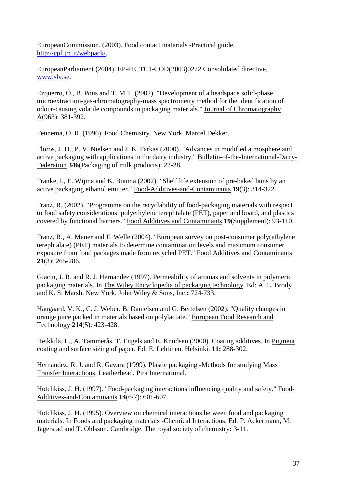EuropeanCommission. (2003). Food contact materials -Practical guide. [http://cpf.jrc.it/webpack/.](http://cpf.jrc.it/webpack/)

EuropeanParliament (2004). EP-PE\_TC1-COD(2003)0272 Consolidated directive, [www.slv.se.](http://www.slv.se/)

Ezquerro, Ó., B. Pons and T. M.T. (2002). "Development of a headspace solid-phase microextraction-gas-chromatography-mass spectrometry method for the identification of odour-causing volatile compounds in packaging materials." Journal of Chromatography A(963): 381-392.

Fennema, O. R. (1996). Food Chemistry. New York, Marcel Dekker.

Floros, J. D., P. V. Nielsen and J. K. Farkas (2000). "Advances in modified atmosphere and active packaging with applications in the dairy industry." Bulletin-of-the-International-Dairy-Federation **346**(Packaging of milk products): 22-28.

Franke, I., E. Wijma and K. Bouma (2002). "Shelf life extension of pre-baked buns by an active packaging ethanol emitter." Food-Additives-and-Contaminants **19**(3): 314-322.

Franz, R. (2002). "Programme on the recyclability of food-packaging materials with respect to food safety considerations: polyethylene terephtalate (PET), paper and board, and plastics covered by functional barriers." Food Additives and Contaminants **19**(Supplement): 93-110.

Franz, R., A. Mauer and F. Welle (2004). "European survey on post-consumer poly(ethylene terephtalate) (PET) materials to determine contamination levels and maximum consumer exposure from food packages made from recycled PET." Food Additives and Contaminants **21**(3): 265-286.

Giacin, J. R. and R. J. Hernandez (1997). Permeability of aromas and solvents in polymeric packaging materials. In The Wiley Encyclopedia of packaging technology. Ed: A. L. Brody and K. S. Marsh. New York, John Wiley & Sons, Inc.**:** 724-733.

Haugaard, V. K., C. J. Weber, B. Danielsen and G. Bertelsen (2002). "Quality changes in orange juice packed in materials based on polylactate." European Food Research and Technology **214**(5): 423-428.

Heikkilä, L., A. Tømmerås, T. Engels and E. Knudsen (2000). Coating additives. In Pigment coating and surface sizing of paper. Ed: E. Lehtinen. Helsinki. **11:** 288-302.

Hernandez, R. J. and R. Gavara (1999). Plastic packaging -Methods for studying Mass Transfer Interactions. Leatherhead, Pira International.

Hotchkiss, J. H. (1997). "Food-packaging interactions influencing quality and safety." Food-Additives-and-Contaminants **14**(6/7): 601-607.

Hotchkiss, J. H. (1995). Overview on chemical interactions between food and packaging materials. In Foods and packaging materials -Chemical Interactions. Ed: P. Ackermann, M. Jägerstad and T. Ohlsson. Cambridge, The royal society of chemistry**:** 3-11.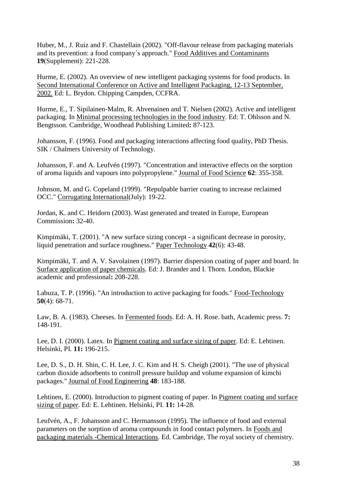Huber, M., J. Ruiz and F. Chastellain (2002). "Off-flavour release from packaging materials and its prevention: a food company´s approach." Food Additives and Contaminants **19**(Supplement): 221-228.

Hurme, E. (2002). An overview of new intelligent packaging systems for food products. In Second International Conference on Active and Intelligent Packaging, 12-13 September, 2002. Ed: L. Brydon. Chipping Campden, CCFRA.

Hurme, E., T. Sipilainen-Malm, R. Ahvenainen and T. Nielsen (2002). Active and intelligent packaging. In Minimal processing technologies in the food industry. Ed: T. Ohlsson and N. Bengtsson. Cambridge, Woodhead Publishing Limited**:** 87-123.

Johansson, F. (1996). Food and packaging interactions affecting food quality, PhD Thesis. SIK / Chalmers University of Technology.

Johansson, F. and A. Leufvén (1997). "Concentration and interactive effects on the sorption of aroma liquids and vapours into polypropylene." Journal of Food Science **62**: 355-358.

Johnson, M. and G. Copeland (1999). "Repulpable barrier coating to increase reclaimed OCC." Corrugating International(July): 19-22.

Jordan, K. and C. Heidorn (2003). Wast generated and treated in Europe, European Commission**:** 32-40.

Kimpimäki, T. (2001). "A new surface sizing concept - a significant decrease in porosity, liquid penetration and surface roughness." Paper Technology **42**(6): 43-48.

Kimpimäki, T. and A. V. Savolainen (1997). Barrier dispersion coating of paper and board. In Surface application of paper chemicals. Ed: J. Brander and I. Thorn. London, Blackie academic and professional**:** 208-228.

Labuza, T. P. (1996). "An introduction to active packaging for foods." Food-Technology **50**(4): 68-71.

Law, B. A. (1983). Cheeses. In Fermented foods. Ed: A. H. Rose. bath, Academic press. **7:**  148-191.

Lee, D. I. (2000). Latex. In Pigment coating and surface sizing of paper. Ed: E. Lehtinen. Helsinki, PI. **11:** 196-215.

Lee, D. S., D. H. Shin, C. H. Lee, J. C. Kim and H. S. Cheigh (2001). "The use of physical carbon dioxide adsorbents to controll pressure buildup and volume expansion of kimchi packages." Journal of Food Engineering **48**: 183-188.

Lehtinen, E. (2000). Introduction to pigment coating of paper. In Pigment coating and surface sizing of paper. Ed: E. Lehtinen. Helsinki, PI. **11:** 14-28.

Leufvén, A., F. Johansson and C. Hermansson (1995). The influence of food and external parameters on the sorption of aroma compounds in food contact polymers. In Foods and packaging materials -Chemical Interactions. Ed. Cambridge, The royal society of chemistry.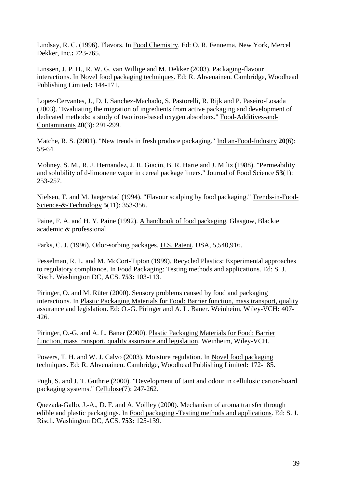Lindsay, R. C. (1996). Flavors. In Food Chemistry. Ed: O. R. Fennema. New York, Mercel Dekker, Inc.**:** 723-765.

Linssen, J. P. H., R. W. G. van Willige and M. Dekker (2003). Packaging-flavour interactions. In Novel food packaging techniques. Ed: R. Ahvenainen. Cambridge, Woodhead Publishing Limited**:** 144-171.

Lopez-Cervantes, J., D. I. Sanchez-Machado, S. Pastorelli, R. Rijk and P. Paseiro-Losada (2003). "Evaluating the migration of ingredients from active packaging and development of dedicated methods: a study of two iron-based oxygen absorbers." Food-Additives-and-Contaminants **20**(3): 291-299.

Matche, R. S. (2001). "New trends in fresh produce packaging." Indian-Food-Industry **20**(6): 58-64.

Mohney, S. M., R. J. Hernandez, J. R. Giacin, B. R. Harte and J. Miltz (1988). "Permeability and solubility of d-limonene vapor in cereal package liners." Journal of Food Science **53**(1): 253-257.

Nielsen, T. and M. Jaegerstad (1994). "Flavour scalping by food packaging." Trends-in-Food-Science-&-Technology **5**(11): 353-356.

Paine, F. A. and H. Y. Paine (1992). A handbook of food packaging. Glasgow, Blackie academic & professional.

Parks, C. J. (1996). Odor-sorbing packages. U.S. Patent. USA, 5,540,916.

Pesselman, R. L. and M. McCort-Tipton (1999). Recycled Plastics: Experimental approaches to regulatory compliance. In Food Packaging: Testing methods and applications. Ed: S. J. Risch. Washington DC, ACS. **753:** 103-113.

Piringer, O. and M. Rüter (2000). Sensory problems caused by food and packaging interactions. In Plastic Packaging Materials for Food: Barrier function, mass transport, quality assurance and legislation. Ed: O.-G. Piringer and A. L. Baner. Weinheim, Wiley-VCH**:** 407- 426.

Piringer, O.-G. and A. L. Baner (2000). Plastic Packaging Materials for Food: Barrier function, mass transport, quality assurance and legislation. Weinheim, Wiley-VCH.

Powers, T. H. and W. J. Calvo (2003). Moisture regulation. In Novel food packaging techniques. Ed: R. Ahvenainen. Cambridge, Woodhead Publishing Limited**:** 172-185.

Pugh, S. and J. T. Guthrie (2000). "Development of taint and odour in cellulosic carton-board packaging systems." Cellulose(7): 247-262.

Quezada-Gallo, J.-A., D. F. and A. Voilley (2000). Mechanism of aroma transfer through edible and plastic packagings. In Food packaging -Testing methods and applications. Ed: S. J. Risch. Washington DC, ACS. **753:** 125-139.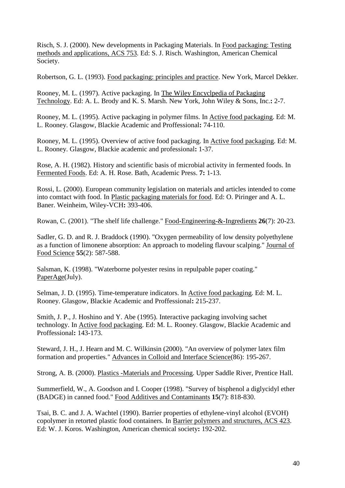Risch, S. J. (2000). New developments in Packaging Materials. In Food packaging: Testing methods and applications, ACS 753. Ed: S. J. Risch. Washington, American Chemical Society.

Robertson, G. L. (1993). Food packaging: principles and practice. New York, Marcel Dekker.

Rooney, M. L. (1997). Active packaging. In The Wiley Encyclpedia of Packaging Technology. Ed: A. L. Brody and K. S. Marsh. New York, John Wiley & Sons, Inc.**:** 2-7.

Rooney, M. L. (1995). Active packaging in polymer films. In Active food packaging. Ed: M. L. Rooney. Glasgow, Blackie Academic and Proffessional**:** 74-110.

Rooney, M. L. (1995). Overview of active food packaging. In Active food packaging. Ed: M. L. Rooney. Glasgow, Blackie academic and professional**:** 1-37.

Rose, A. H. (1982). History and scientific basis of microbial activity in fermented foods. In Fermented Foods. Ed: A. H. Rose. Bath, Academic Press. **7:** 1-13.

Rossi, L. (2000). European community legislation on materials and articles intended to come into comtact with food. In Plastic packaging materials for food. Ed: O. Piringer and A. L. Baner. Weinheim, Wiley-VCH**:** 393-406.

Rowan, C. (2001). "The shelf life challenge." Food-Engineering-&-Ingredients **26**(7): 20-23.

Sadler, G. D. and R. J. Braddock (1990). "Oxygen permeability of low density polyethylene as a function of limonene absorption: An approach to modeling flavour scalping." Journal of Food Science **55**(2): 587-588.

Salsman, K. (1998). "Waterborne polyester resins in repulpable paper coating." PaperAge(July).

Selman, J. D. (1995). Time-temperature indicators. In Active food packaging. Ed: M. L. Rooney. Glasgow, Blackie Academic and Proffessional**:** 215-237.

Smith, J. P., J. Hoshino and Y. Abe (1995). Interactive packaging involving sachet technology. In Active food packaging. Ed: M. L. Rooney. Glasgow, Blackie Academic and Proffessional**:** 143-173.

Steward, J. H., J. Hearn and M. C. Wilkinsin (2000). "An overview of polymer latex film formation and properties." Advances in Colloid and Interface Science(86): 195-267.

Strong, A. B. (2000). Plastics -Materials and Processing. Upper Saddle River, Prentice Hall.

Summerfield, W., A. Goodson and I. Cooper (1998). "Survey of bisphenol a diglycidyl ether (BADGE) in canned food." Food Additives and Contaminants **15**(7): 818-830.

Tsai, B. C. and J. A. Wachtel (1990). Barrier properties of ethylene-vinyl alcohol (EVOH) copolymer in retorted plastic food containers. In Barrier polymers and structures, ACS 423. Ed: W. J. Koros. Washington, American chemical society**:** 192-202.